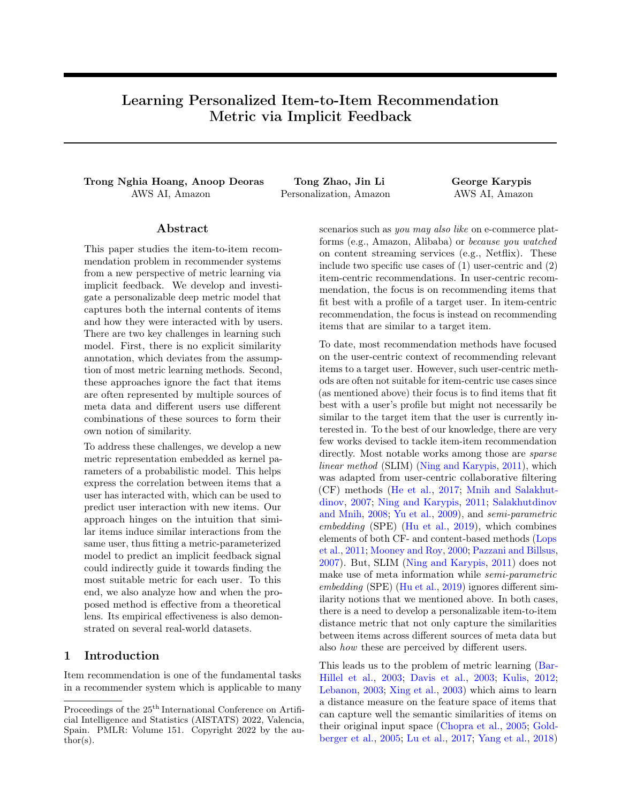# Learning Personalized Item-to-Item Recommendation Metric via Implicit Feedback

Trong Nghia Hoang, Anoop Deoras Tong Zhao, Jin Li George Karypis AWS AI, Amazon Personalization, Amazon AWS AI, Amazon

## Abstract

This paper studies the item-to-item recommendation problem in recommender systems from a new perspective of metric learning via implicit feedback. We develop and investigate a personalizable deep metric model that captures both the internal contents of items and how they were interacted with by users. There are two key challenges in learning such model. First, there is no explicit similarity annotation, which deviates from the assumption of most metric learning methods. Second, these approaches ignore the fact that items are often represented by multiple sources of meta data and different users use different combinations of these sources to form their own notion of similarity.

To address these challenges, we develop a new metric representation embedded as kernel parameters of a probabilistic model. This helps express the correlation between items that a user has interacted with, which can be used to predict user interaction with new items. Our approach hinges on the intuition that similar items induce similar interactions from the same user, thus fitting a metric-parameterized model to predict an implicit feedback signal could indirectly guide it towards finding the most suitable metric for each user. To this end, we also analyze how and when the proposed method is effective from a theoretical lens. Its empirical effectiveness is also demonstrated on several real-world datasets.

### <span id="page-0-0"></span>1 Introduction

Item recommendation is one of the fundamental tasks in a recommender system which is applicable to many scenarios such as you may also like on e-commerce platforms (e.g., Amazon, Alibaba) or because you watched on content streaming services (e.g., Netflix). These include two specific use cases of (1) user-centric and (2) item-centric recommendations. In user-centric recommendation, the focus is on recommending items that fit best with a profile of a target user. In item-centric recommendation, the focus is instead on recommending items that are similar to a target item.

To date, most recommendation methods have focused on the user-centric context of recommending relevant items to a target user. However, such user-centric methods are often not suitable for item-centric use cases since (as mentioned above) their focus is to find items that fit best with a user's profile but might not necessarily be similar to the target item that the user is currently interested in. To the best of our knowledge, there are very few works devised to tackle item-item recommendation directly. Most notable works among those are *sparse* linear method (SLIM) [\(Ning and Karypis,](#page-9-0) [2011\)](#page-9-0), which was adapted from user-centric collaborative filtering (CF) methods [\(He et al.,](#page-9-1) [2017;](#page-9-1) [Mnih and Salakhut](#page-9-2)[dinov,](#page-9-2) [2007;](#page-9-2) [Ning and Karypis,](#page-9-0) [2011;](#page-9-0) [Salakhutdinov](#page-10-0) [and Mnih,](#page-10-0) [2008;](#page-10-0) [Yu et al.,](#page-10-1) [2009\)](#page-10-1), and semi-parametric embedding (SPE) [\(Hu et al.,](#page-9-3) [2019\)](#page-9-3), which combines elements of both CF- and content-based methods [\(Lops](#page-9-4) [et al.,](#page-9-4) [2011;](#page-9-4) [Mooney and Roy,](#page-9-5) [2000;](#page-9-5) [Pazzani and Billsus,](#page-9-6) [2007\)](#page-9-6). But, SLIM [\(Ning and Karypis,](#page-9-0) [2011\)](#page-9-0) does not make use of meta information while semi-parametric embedding (SPE) [\(Hu et al.,](#page-9-3) [2019\)](#page-9-3) ignores different similarity notions that we mentioned above. In both cases, there is a need to develop a personalizable item-to-item distance metric that not only capture the similarities between items across different sources of meta data but also how these are perceived by different users.

This leads us to the problem of metric learning [\(Bar-](#page-9-7)[Hillel et al.,](#page-9-7) [2003;](#page-9-7) [Davis et al.,](#page-9-8) [2003;](#page-9-8) [Kulis,](#page-9-9) [2012;](#page-9-9) [Lebanon,](#page-9-10) [2003;](#page-9-10) [Xing et al.,](#page-10-2) [2003\)](#page-10-2) which aims to learn a distance measure on the feature space of items that can capture well the semantic similarities of items on their original input space [\(Chopra et al.,](#page-9-11) [2005;](#page-9-11) [Gold](#page-9-12)[berger et al.,](#page-9-12) [2005;](#page-9-12) [Lu et al.,](#page-9-13) [2017;](#page-9-13) [Yang et al.,](#page-10-3) [2018\)](#page-10-3)

Proceedings of the  $25<sup>th</sup>$  International Conference on Artificial Intelligence and Statistics (AISTATS) 2022, Valencia, Spain. PMLR: Volume 151. Copyright 2022 by the au- $\text{thor}(s)$ .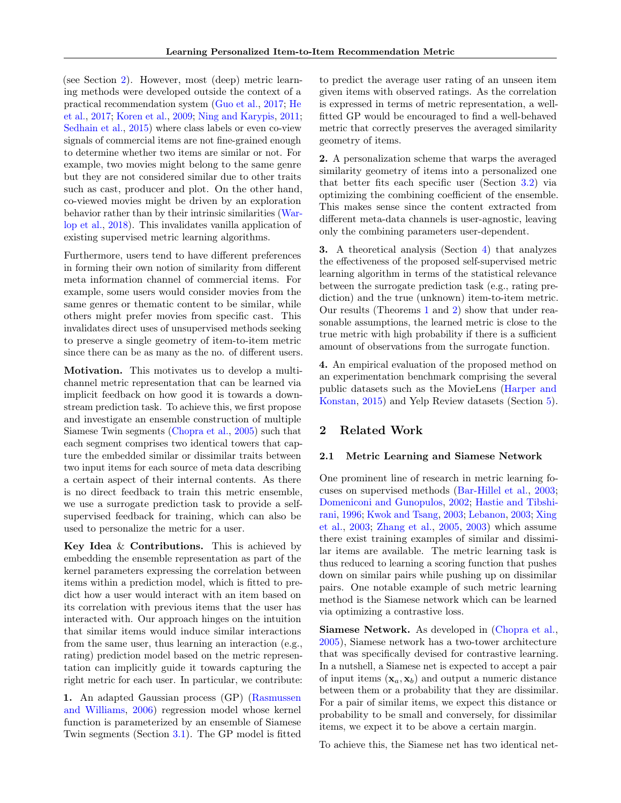(see Section [2\)](#page-1-0). However, most (deep) metric learning methods were developed outside the context of a practical recommendation system [\(Guo et al.,](#page-9-14) [2017;](#page-9-14) [He](#page-9-1) [et al.,](#page-9-1) [2017;](#page-9-1) [Koren et al.,](#page-9-15) [2009;](#page-9-15) [Ning and Karypis,](#page-9-0) [2011;](#page-9-0) [Sedhain et al.,](#page-10-4) [2015\)](#page-10-4) where class labels or even co-view signals of commercial items are not fine-grained enough to determine whether two items are similar or not. For example, two movies might belong to the same genre but they are not considered similar due to other traits such as cast, producer and plot. On the other hand, co-viewed movies might be driven by an exploration behavior rather than by their intrinsic similarities [\(War](#page-10-5)[lop et al.,](#page-10-5) [2018\)](#page-10-5). This invalidates vanilla application of existing supervised metric learning algorithms.

Furthermore, users tend to have different preferences in forming their own notion of similarity from different meta information channel of commercial items. For example, some users would consider movies from the same genres or thematic content to be similar, while others might prefer movies from specific cast. This invalidates direct uses of unsupervised methods seeking to preserve a single geometry of item-to-item metric since there can be as many as the no. of different users.

Motivation. This motivates us to develop a multichannel metric representation that can be learned via implicit feedback on how good it is towards a downstream prediction task. To achieve this, we first propose and investigate an ensemble construction of multiple Siamese Twin segments [\(Chopra et al.,](#page-9-11) [2005\)](#page-9-11) such that each segment comprises two identical towers that capture the embedded similar or dissimilar traits between two input items for each source of meta data describing a certain aspect of their internal contents. As there is no direct feedback to train this metric ensemble, we use a surrogate prediction task to provide a selfsupervised feedback for training, which can also be used to personalize the metric for a user.

Key Idea & Contributions. This is achieved by embedding the ensemble representation as part of the kernel parameters expressing the correlation between items within a prediction model, which is fitted to predict how a user would interact with an item based on its correlation with previous items that the user has interacted with. Our approach hinges on the intuition that similar items would induce similar interactions from the same user, thus learning an interaction (e.g., rating) prediction model based on the metric representation can implicitly guide it towards capturing the right metric for each user. In particular, we contribute:

1. An adapted Gaussian process (GP) [\(Rasmussen](#page-10-6) [and Williams,](#page-10-6) [2006\)](#page-10-6) regression model whose kernel function is parameterized by an ensemble of Siamese Twin segments (Section [3.1\)](#page-2-0). The GP model is fitted to predict the average user rating of an unseen item given items with observed ratings. As the correlation is expressed in terms of metric representation, a wellfitted GP would be encouraged to find a well-behaved metric that correctly preserves the averaged similarity geometry of items.

2. A personalization scheme that warps the averaged similarity geometry of items into a personalized one that better fits each specific user (Section [3.2\)](#page-3-0) via optimizing the combining coefficient of the ensemble. This makes sense since the content extracted from different meta-data channels is user-agnostic, leaving only the combining parameters user-dependent.

3. A theoretical analysis (Section [4\)](#page-4-0) that analyzes the effectiveness of the proposed self-supervised metric learning algorithm in terms of the statistical relevance between the surrogate prediction task (e.g., rating prediction) and the true (unknown) item-to-item metric. Our results (Theorems [1](#page-5-0) and [2\)](#page-5-1) show that under reasonable assumptions, the learned metric is close to the true metric with high probability if there is a sufficient amount of observations from the surrogate function.

4. An empirical evaluation of the proposed method on an experimentation benchmark comprising the several public datasets such as the MovieLens [\(Harper and](#page-9-16) [Konstan,](#page-9-16) [2015\)](#page-9-16) and Yelp Review datasets (Section [5\)](#page-5-2).

## <span id="page-1-0"></span>2 Related Work

#### <span id="page-1-1"></span>2.1 Metric Learning and Siamese Network

One prominent line of research in metric learning focuses on supervised methods [\(Bar-Hillel et al.,](#page-9-7) [2003;](#page-9-7) [Domeniconi and Gunopulos,](#page-9-17) [2002;](#page-9-17) [Hastie and Tibshi](#page-9-18)[rani,](#page-9-18) [1996;](#page-9-18) [Kwok and Tsang,](#page-9-19) [2003;](#page-9-19) [Lebanon,](#page-9-10) [2003;](#page-9-10) [Xing](#page-10-2) [et al.,](#page-10-2) [2003;](#page-10-2) [Zhang et al.,](#page-10-7) [2005,](#page-10-7) [2003\)](#page-10-8) which assume there exist training examples of similar and dissimilar items are available. The metric learning task is thus reduced to learning a scoring function that pushes down on similar pairs while pushing up on dissimilar pairs. One notable example of such metric learning method is the Siamese network which can be learned via optimizing a contrastive loss.

Siamese Network. As developed in [\(Chopra et al.,](#page-9-11) [2005\)](#page-9-11), Siamese network has a two-tower architecture that was specifically devised for contrastive learning. In a nutshell, a Siamese net is expected to accept a pair of input items  $(\mathbf{x}_a, \mathbf{x}_b)$  and output a numeric distance between them or a probability that they are dissimilar. For a pair of similar items, we expect this distance or probability to be small and conversely, for dissimilar items, we expect it to be above a certain margin.

To achieve this, the Siamese net has two identical net-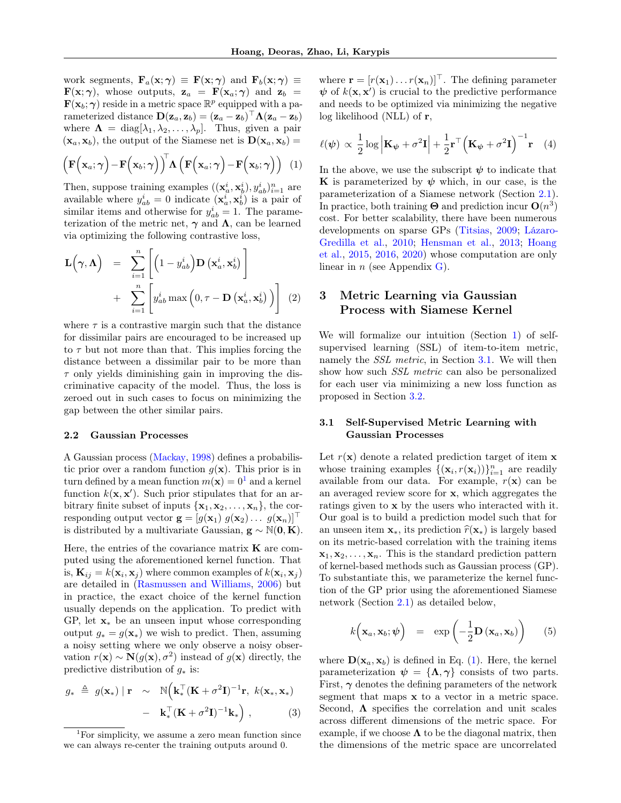work segments,  $\mathbf{F}_a(\mathbf{x}; \gamma) \equiv \mathbf{F}(\mathbf{x}; \gamma)$  and  $\mathbf{F}_b(\mathbf{x}; \gamma) \equiv$  $\mathbf{F}(\mathbf{x}; \gamma)$ , whose outputs,  $\mathbf{z}_a = \mathbf{F}(\mathbf{x}_a; \gamma)$  and  $\mathbf{z}_b =$  $\mathbf{F}(\mathbf{x}_b; \boldsymbol{\gamma})$  reside in a metric space  $\mathbb{R}^p$  equipped with a parameterized distance  $\mathbf{D}(\mathbf{z}_a, \mathbf{z}_b) = (\mathbf{z}_a - \mathbf{z}_b)^{\top} \mathbf{\Lambda} (\mathbf{z}_a - \mathbf{z}_b)$ where  $\Lambda = \text{diag}[\lambda_1, \lambda_2, \ldots, \lambda_p]$ . Thus, given a pair  $(\mathbf{x}_a, \mathbf{x}_b)$ , the output of the Siamese net is  $\mathbf{D}(\mathbf{x}_a, \mathbf{x}_b)$  =

<span id="page-2-2"></span>
$$
\left(\mathbf{F}\left(\mathbf{x}_{a};\boldsymbol{\gamma}\right)-\mathbf{F}\left(\mathbf{x}_{b};\boldsymbol{\gamma}\right)\right)^{\!\top}\!\mathbf{\Lambda}\left(\mathbf{F}\left(\mathbf{x}_{a};\boldsymbol{\gamma}\right)-\mathbf{F}\left(\mathbf{x}_{b};\boldsymbol{\gamma}\right)\right)\tag{1}
$$

Then, suppose training examples  $((\mathbf{x}_a^i, \mathbf{x}_b^i), y_{ab}^i)_{i=1}^n$  are available where  $y_{ab}^i = 0$  indicate  $(\mathbf{x}_a^i, \mathbf{x}_b^i)$  is a pair of similar items and otherwise for  $y_{ab}^i = 1$ . The parameterization of the metric net,  $\gamma$  and  $\Lambda$ , can be learned via optimizing the following contrastive loss,

<span id="page-2-5"></span>
$$
\mathbf{L}\left(\boldsymbol{\gamma},\boldsymbol{\Lambda}\right) = \sum_{i=1}^{n} \left[ \left(1 - y_{ab}^{i}\right) \mathbf{D}\left(\mathbf{x}_{a}^{i}, \mathbf{x}_{b}^{i}\right) \right] + \sum_{i=1}^{n} \left[ y_{ab}^{i} \max\left(0, \tau - \mathbf{D}\left(\mathbf{x}_{a}^{i}, \mathbf{x}_{b}^{i}\right)\right) \right] (2)
$$

where  $\tau$  is a contrastive margin such that the distance for dissimilar pairs are encouraged to be increased up to  $\tau$  but not more than that. This implies forcing the distance between a dissimilar pair to be more than  $\tau$  only yields diminishing gain in improving the discriminative capacity of the model. Thus, the loss is zeroed out in such cases to focus on minimizing the gap between the other similar pairs.

#### 2.2 Gaussian Processes

A Gaussian process [\(Mackay,](#page-9-20) [1998\)](#page-9-20) defines a probabilistic prior over a random function  $g(\mathbf{x})$ . This prior is in turn defined by a mean function  $m(\mathbf{x}) = 0^1$  $m(\mathbf{x}) = 0^1$  and a kernel function  $k(\mathbf{x}, \mathbf{x}')$ . Such prior stipulates that for an arbitrary finite subset of inputs  $\{x_1, x_2, \ldots, x_n\}$ , the corresponding output vector  $\mathbf{g} = [g(\mathbf{x}_1) \ g(\mathbf{x}_2) \dots \ g(\mathbf{x}_n)]^\top$ is distributed by a multivariate Gaussian,  $g \sim N(0, K)$ .

Here, the entries of the covariance matrix  $\bf{K}$  are computed using the aforementioned kernel function. That is,  $\mathbf{K}_{ij} = k(\mathbf{x}_i, \mathbf{x}_j)$  where common examples of  $k(\mathbf{x}_i, \mathbf{x}_j)$ are detailed in [\(Rasmussen and Williams,](#page-10-6) [2006\)](#page-10-6) but in practice, the exact choice of the kernel function usually depends on the application. To predict with GP, let  $\mathbf{x}_*$  be an unseen input whose corresponding output  $g_* = g(\mathbf{x}_*)$  we wish to predict. Then, assuming a noisy setting where we only observe a noisy observation  $r(\mathbf{x}) \sim \mathbf{N}(g(\mathbf{x}), \sigma^2)$  instead of  $g(\mathbf{x})$  directly, the predictive distribution of  $g_*$  is:

<span id="page-2-6"></span>
$$
g_{*} \triangleq g(\mathbf{x}_{*}) \mid \mathbf{r} \sim \mathbb{N} \Big( \mathbf{k}_{*}^{\top} (\mathbf{K} + \sigma^{2} \mathbf{I})^{-1} \mathbf{r}, \ k(\mathbf{x}_{*}, \mathbf{x}_{*}) - \mathbf{k}_{*}^{\top} (\mathbf{K} + \sigma^{2} \mathbf{I})^{-1} \mathbf{k}_{*} \Big), \tag{3}
$$

where  $\mathbf{r} = [r(\mathbf{x}_1) \dots r(\mathbf{x}_n)]^\top$ . The defining parameter  $\psi$  of  $k(\mathbf{x}, \mathbf{x}')$  is crucial to the predictive performance and needs to be optimized via minimizing the negative log likelihood (NLL) of r,

<span id="page-2-3"></span>
$$
\ell(\psi) \propto \frac{1}{2} \log \left| \mathbf{K}_{\psi} + \sigma^2 \mathbf{I} \right| + \frac{1}{2} \mathbf{r}^{\top} \left( \mathbf{K}_{\psi} + \sigma^2 \mathbf{I} \right)^{-1} \mathbf{r} \quad (4)
$$

In the above, we use the subscript  $\psi$  to indicate that **K** is parameterized by  $\psi$  which, in our case, is the parameterization of a Siamese network (Section [2.1\)](#page-1-1). In practice, both training  $\Theta$  and prediction incur  $\mathbf{O}(n^3)$ cost. For better scalability, there have been numerous developments on sparse GPs [\(Titsias,](#page-10-9) [2009;](#page-10-9) [Lázaro-](#page-9-21)[Gredilla et al.,](#page-9-21) [2010;](#page-9-21) [Hensman et al.,](#page-9-22) [2013;](#page-9-22) [Hoang](#page-9-23) [et al.,](#page-9-23) [2015,](#page-9-23) [2016,](#page-9-24) [2020\)](#page-9-25) whose computation are only linear in  $n$  (see Appendix [G\)](#page-15-0).

# 3 Metric Learning via Gaussian Process with Siamese Kernel

We will formalize our intuition (Section [1\)](#page-0-0) of selfsupervised learning (SSL) of item-to-item metric, namely the *SSL metric*, in Section [3.1.](#page-2-0) We will then show how such SSL metric can also be personalized for each user via minimizing a new loss function as proposed in Section [3.2.](#page-3-0)

### <span id="page-2-0"></span>3.1 Self-Supervised Metric Learning with Gaussian Processes

Let  $r(\mathbf{x})$  denote a related prediction target of item  $\mathbf{x}$ whose training examples  $\{(\mathbf{x}_i, r(\mathbf{x}_i))\}_{i=1}^n$  are readily available from our data. For example,  $r(\mathbf{x})$  can be an averaged review score for x, which aggregates the ratings given to x by the users who interacted with it. Our goal is to build a prediction model such that for an unseen item  $x_*,$  its prediction  $\hat{r}(x_*)$  is largely based on its metric-based correlation with the training items  $\mathbf{x}_1, \mathbf{x}_2, \ldots, \mathbf{x}_n$ . This is the standard prediction pattern of kernel-based methods such as Gaussian process (GP). To substantiate this, we parameterize the kernel function of the GP prior using the aforementioned Siamese network (Section [2.1\)](#page-1-1) as detailed below,

<span id="page-2-4"></span>
$$
k\left(\mathbf{x}_a, \mathbf{x}_b; \boldsymbol{\psi}\right) = \exp\left(-\frac{1}{2}\mathbf{D}\left(\mathbf{x}_a, \mathbf{x}_b\right)\right) \qquad (5)
$$

where  $\mathbf{D}(\mathbf{x}_a, \mathbf{x}_b)$  is defined in Eq. [\(1\)](#page-2-2). Here, the kernel parameterization  $\psi = {\Lambda, \gamma}$  consists of two parts. First,  $\gamma$  denotes the defining parameters of the network segment that maps x to a vector in a metric space. Second,  $\Lambda$  specifies the correlation and unit scales across different dimensions of the metric space. For example, if we choose  $\Lambda$  to be the diagonal matrix, then the dimensions of the metric space are uncorrelated

<span id="page-2-1"></span><sup>1</sup>For simplicity, we assume a zero mean function since we can always re-center the training outputs around 0.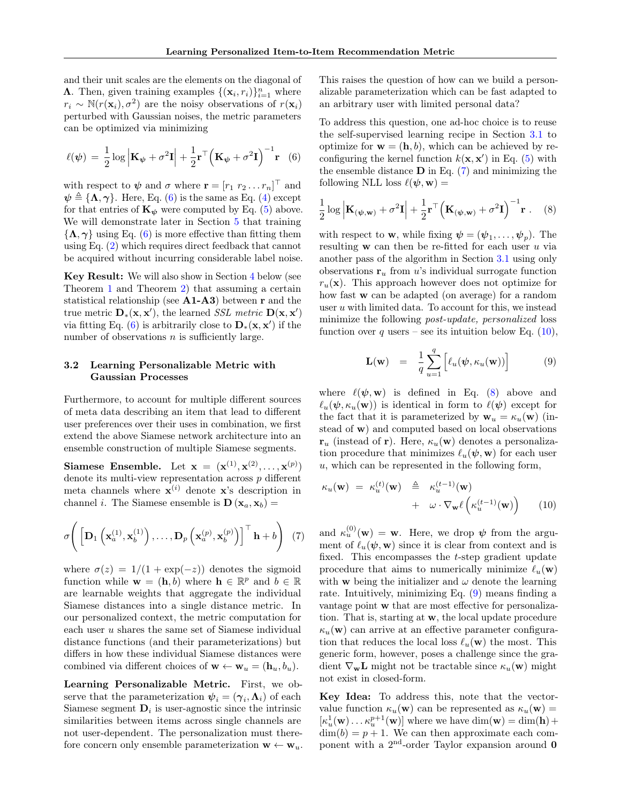and their unit scales are the elements on the diagonal of **Λ**. Then, given training examples  $\{(\mathbf{x}_i, r_i)\}_{i=1}^n$  where  $r_i \sim \mathbb{N}(r(\mathbf{x}_i), \sigma^2)$  are the noisy observations of  $r(\mathbf{x}_i)$ perturbed with Gaussian noises, the metric parameters can be optimized via minimizing

<span id="page-3-1"></span>
$$
\ell(\psi) = \frac{1}{2}\log \left| \mathbf{K}_{\psi} + \sigma^2 \mathbf{I} \right| + \frac{1}{2}\mathbf{r}^{\top} \left( \mathbf{K}_{\psi} + \sigma^2 \mathbf{I} \right)^{-1} \mathbf{r} \quad (6)
$$

with respect to  $\psi$  and  $\sigma$  where  $\mathbf{r} = [r_1 \ r_2 \dots r_n]^\top$  and  $\psi \triangleq {\mathbf{\Lambda}, \gamma}$ . Here, Eq. [\(6\)](#page-3-1) is the same as Eq. [\(4\)](#page-2-3) except for that entries of  $\mathbf{K}_{\psi}$  were computed by Eq. [\(5\)](#page-2-4) above. We will demonstrate later in Section [5](#page-5-2) that training  $\{\Lambda, \gamma\}$  using Eq. [\(6\)](#page-3-1) is more effective than fitting them using Eq. [\(2\)](#page-2-5) which requires direct feedback that cannot be acquired without incurring considerable label noise.

Key Result: We will also show in Section [4](#page-4-0) below (see Theorem [1](#page-5-0) and Theorem [2\)](#page-5-1) that assuming a certain statistical relationship (see  $A1-A3$ ) between r and the true metric  $\mathbf{D}_{*}(\mathbf{x}, \mathbf{x}')$ , the learned *SSL metric*  $\mathbf{D}(\mathbf{x}, \mathbf{x}')$ via fitting Eq.  $(6)$  is arbitrarily close to  $\mathbf{D}_{*}(\mathbf{x}, \mathbf{x}')$  if the number of observations  $n$  is sufficiently large.

### <span id="page-3-0"></span>3.2 Learning Personalizable Metric with Gaussian Processes

Furthermore, to account for multiple different sources of meta data describing an item that lead to different user preferences over their uses in combination, we first extend the above Siamese network architecture into an ensemble construction of multiple Siamese segments.

Siamese Ensemble. Let  $\mathbf{x} = (\mathbf{x}^{(1)}, \mathbf{x}^{(2)}, \dots, \mathbf{x}^{(p)})$ denote its multi-view representation across p different meta channels where  $\mathbf{x}^{(i)}$  denote  $\mathbf{x}$ 's description in channel *i*. The Siamese ensemble is  $\mathbf{D}(\mathbf{x}_a, \mathbf{x}_b) =$ 

<span id="page-3-2"></span>
$$
\sigma\Bigg(\left[\mathbf{D}_1\left(\mathbf{x}_a^{(1)},\mathbf{x}_b^{(1)}\right),\ldots,\mathbf{D}_p\left(\mathbf{x}_a^{(p)},\mathbf{x}_b^{(p)}\right)\right]^\top \mathbf{h} + b\Bigg) (7)
$$

where  $\sigma(z) = 1/(1 + \exp(-z))$  denotes the sigmoid function while  $\mathbf{w} = (\mathbf{h}, b)$  where  $\mathbf{h} \in \mathbb{R}^p$  and  $b \in \mathbb{R}$ are learnable weights that aggregate the individual Siamese distances into a single distance metric. In our personalized context, the metric computation for each user u shares the same set of Siamese individual distance functions (and their parameterizations) but differs in how these individual Siamese distances were combined via different choices of  $\mathbf{w} \leftarrow \mathbf{w}_u = (\mathbf{h}_u, b_u)$ .

Learning Personalizable Metric. First, we observe that the parameterization  $\psi_i = (\gamma_i, \Lambda_i)$  of each Siamese segment  $D_i$  is user-agnostic since the intrinsic similarities between items across single channels are not user-dependent. The personalization must therefore concern only ensemble parameterization  $\mathbf{w} \leftarrow \mathbf{w}_u$ . This raises the question of how can we build a personalizable parameterization which can be fast adapted to an arbitrary user with limited personal data?

To address this question, one ad-hoc choice is to reuse the self-supervised learning recipe in Section [3.1](#page-2-0) to optimize for  $\mathbf{w} = (\mathbf{h}, b)$ , which can be achieved by reconfiguring the kernel function  $k(\mathbf{x}, \mathbf{x}')$  in Eq. [\(5\)](#page-2-4) with the ensemble distance  $\bf{D}$  in Eq. [\(7\)](#page-3-2) and minimizing the following NLL loss  $\ell(\psi, \mathbf{w}) =$ 

<span id="page-3-4"></span>
$$
\frac{1}{2}\log \left| \mathbf{K}_{(\boldsymbol{\psi},\mathbf{w})} + \sigma^2 \mathbf{I} \right| + \frac{1}{2}\mathbf{r}^\top \left( \mathbf{K}_{(\boldsymbol{\psi},\mathbf{w})} + \sigma^2 \mathbf{I} \right)^{-1} \mathbf{r} . \quad (8)
$$

with respect to **w**, while fixing  $\boldsymbol{\psi} = (\psi_1, \dots, \psi_p)$ . The resulting  $w$  can then be re-fitted for each user  $u$  via another pass of the algorithm in Section [3.1](#page-2-0) using only observations  $r_u$  from u's individual surrogate function  $r_u(\mathbf{x})$ . This approach however does not optimize for how fast w can be adapted (on average) for a random user  $u$  with limited data. To account for this, we instead minimize the following post-update, personalized loss function over q users – see its intuition below Eq.  $(10)$ ,

<span id="page-3-5"></span>
$$
\mathbf{L}(\mathbf{w}) = \frac{1}{q} \sum_{u=1}^{q} \left[ \ell_u(\boldsymbol{\psi}, \kappa_u(\mathbf{w})) \right] \tag{9}
$$

where  $\ell(\psi, w)$  is defined in Eq. [\(8\)](#page-3-4) above and  $\ell_u(\psi, \kappa_u(\mathbf{w}))$  is identical in form to  $\ell(\psi)$  except for the fact that it is parameterized by  $\mathbf{w}_u = \kappa_u(\mathbf{w})$  (instead of w) and computed based on local observations  $\mathbf{r}_u$  (instead of r). Here,  $\kappa_u(\mathbf{w})$  denotes a personalization procedure that minimizes  $\ell_u(\psi, \mathbf{w})$  for each user  $u$ , which can be represented in the following form,

<span id="page-3-3"></span>
$$
\kappa_u(\mathbf{w}) = \kappa_u^{(t)}(\mathbf{w}) \triangleq \kappa_u^{(t-1)}(\mathbf{w}) + \omega \cdot \nabla_{\mathbf{w}} \ell \left( \kappa_u^{(t-1)}(\mathbf{w}) \right) \qquad (10)
$$

and  $\kappa_u^{(0)}(\mathbf{w}) = \mathbf{w}$ . Here, we drop  $\psi$  from the argument of  $\ell_u(\psi, \mathbf{w})$  since it is clear from context and is fixed. This encompasses the t-step gradient update procedure that aims to numerically minimize  $\ell_u(\mathbf{w})$ with **w** being the initializer and  $\omega$  denote the learning rate. Intuitively, minimizing Eq. [\(9\)](#page-3-5) means finding a vantage point w that are most effective for personalization. That is, starting at w, the local update procedure  $\kappa_u(\mathbf{w})$  can arrive at an effective parameter configuration that reduces the local loss  $\ell_u(\mathbf{w})$  the most. This generic form, however, poses a challenge since the gradient  $\nabla_{\mathbf{w}}\mathbf{L}$  might not be tractable since  $\kappa_u(\mathbf{w})$  might not exist in closed-form.

Key Idea: To address this, note that the vectorvalue function  $\kappa_u(\mathbf{w})$  can be represented as  $\kappa_u(\mathbf{w}) =$  $\lbrack \kappa^1_u(\mathbf{w}) \dots \kappa^{p+1}_u(\mathbf{w}) \rbrack$  where we have  $\dim(\mathbf{w}) = \dim(\mathbf{h}) + \pi$  $\dim(b) = p + 1$ . We can then approximate each component with a  $2<sup>nd</sup>$ -order Taylor expansion around 0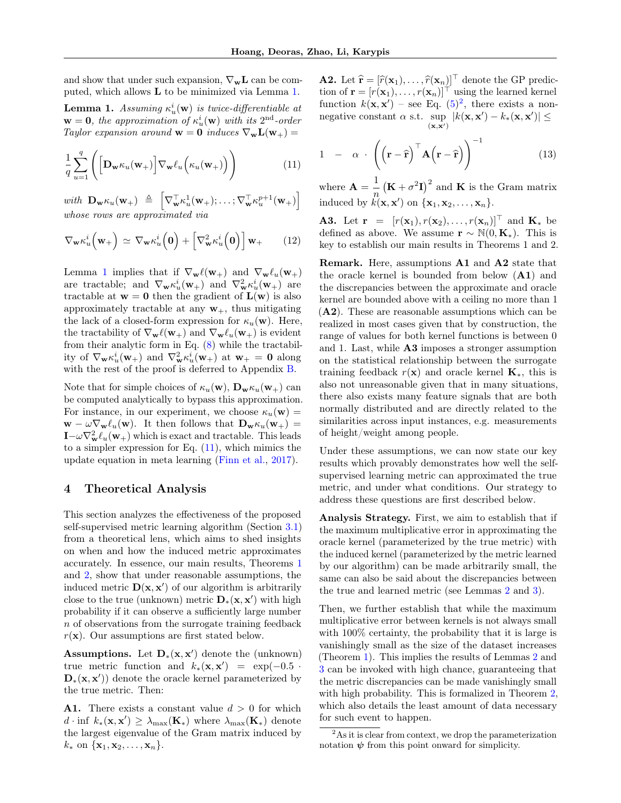and show that under such expansion,  $\nabla_{\mathbf{w}}\mathbf{L}$  can be computed, which allows L to be minimized via Lemma [1.](#page-4-1)

<span id="page-4-1"></span>**Lemma 1.** Assuming  $\kappa_u^i(\mathbf{w})$  is twice-differentiable at  $\mathbf{w} = \mathbf{0}$ , the approximation of  $\kappa_u^i(\mathbf{w})$  with its  $2^{\text{nd}}$ -order Taylor expansion around  $\mathbf{w} = \mathbf{0}$  induces  $\nabla_{\mathbf{w}} \mathbf{L}(\mathbf{w}_+) =$ 

<span id="page-4-2"></span>
$$
\frac{1}{q} \sum_{u=1}^{q} \left( \left[ \mathbf{D}_{\mathbf{w}} \kappa_u(\mathbf{w}_+) \right] \nabla_{\mathbf{w}} \ell_u \left( \kappa_u(\mathbf{w}_+) \right) \right) \tag{11}
$$

with  $\mathbf{D}_{\mathbf{w}} \kappa_u(\mathbf{w}_+) \triangleq \begin{bmatrix} \nabla_{\mathbf{w}}^{\top} \kappa_u^1(\mathbf{w}_+); \ldots; \nabla_{\mathbf{w}}^{\top} \kappa_u^{p+1}(\mathbf{w}_+) \end{bmatrix}$ whose rows are approximated via

$$
\nabla_{\mathbf{w}} \kappa_u^i\left(\mathbf{w}_+\right) \simeq \nabla_{\mathbf{w}} \kappa_u^i\left(\mathbf{0}\right) + \left[\nabla_{\mathbf{w}}^2 \kappa_u^i\left(\mathbf{0}\right)\right] \mathbf{w}_+ \qquad (12)
$$

Lemma [1](#page-4-1) implies that if  $\nabla_{\mathbf{w}} \ell(\mathbf{w}_+)$  and  $\nabla_{\mathbf{w}} \ell_u(\mathbf{w}_+)$ are tractable; and  $\nabla_{\mathbf{w}} \kappa_u^i(\mathbf{w}_+)$  and  $\nabla_{\mathbf{w}}^2 \kappa_u^i(\mathbf{w}_+)$  are tractable at  $w = 0$  then the gradient of  $L(w)$  is also approximately tractable at any  $w_+$ , thus mitigating the lack of a closed-form expression for  $\kappa_u(\mathbf{w})$ . Here, the tractability of  $\nabla_{\mathbf{w}} \ell(\mathbf{w}_+)$  and  $\nabla_{\mathbf{w}} \ell_u(\mathbf{w}_+)$  is evident from their analytic form in Eq. [\(8\)](#page-3-4) while the tractability of  $\nabla_{\mathbf{w}} \kappa_u^i(\mathbf{w}_+)$  and  $\nabla_{\mathbf{w}}^2 \kappa_u^i(\mathbf{w}_+)$  at  $\mathbf{w}_+ = \mathbf{0}$  along with the rest of the proof is deferred to Appendix [B.](#page-12-0)

Note that for simple choices of  $\kappa_u(\mathbf{w})$ ,  $\mathbf{D}_{\mathbf{w}}\kappa_u(\mathbf{w}_+)$  can be computed analytically to bypass this approximation. For instance, in our experiment, we choose  $\kappa_u(\mathbf{w}) =$  $\mathbf{w} - \omega \nabla_{\mathbf{w}} \ell_u(\mathbf{w}).$  It then follows that  $\mathbf{D}_{\mathbf{w}} \kappa_u(\mathbf{w}_+) =$  $\mathbf{I} - \omega \nabla_{\mathbf{w}}^2 \ell_u(\mathbf{w}_+)$  which is exact and tractable. This leads to a simpler expression for Eq.  $(11)$ , which mimics the update equation in meta learning [\(Finn et al.,](#page-9-26) [2017\)](#page-9-26).

#### <span id="page-4-0"></span>4 Theoretical Analysis

This section analyzes the effectiveness of the proposed self-supervised metric learning algorithm (Section [3.1\)](#page-2-0) from a theoretical lens, which aims to shed insights on when and how the induced metric approximates accurately. In essence, our main results, Theorems [1](#page-5-0) and [2,](#page-5-1) show that under reasonable assumptions, the induced metric  $\mathbf{D}(\mathbf{x}, \mathbf{x}')$  of our algorithm is arbitrarily close to the true (unknown) metric  $\mathbf{D}_*(\mathbf{x}, \mathbf{x}')$  with high probability if it can observe a sufficiently large number n of observations from the surrogate training feedback  $r(\mathbf{x})$ . Our assumptions are first stated below.

Assumptions. Let  $D_*(x, x')$  denote the (unknown) true metric function and  $k_*(\mathbf{x}, \mathbf{x}') = \exp(-0.5 \cdot$  $\mathbf{D}_{*}(\mathbf{x}, \mathbf{x}')$  denote the oracle kernel parameterized by the true metric. Then:

A1. There exists a constant value  $d > 0$  for which d · inf  $k_*(\mathbf{x}, \mathbf{x}') \geq \lambda_{\max}(\mathbf{K}_*)$  where  $\lambda_{\max}(\mathbf{K}_*)$  denote the largest eigenvalue of the Gram matrix induced by  $k_*$  on  $\{\mathbf{x}_1, \mathbf{x}_2, \ldots, \mathbf{x}_n\}.$ 

**A2.** Let  $\hat{\mathbf{r}} = [\hat{r}(\mathbf{x}_1), \dots, \hat{r}(\mathbf{x}_n)]^\top$  denote the GP prediction of  $\mathbf{r} = [r(\mathbf{x}_1), \dots, r(\mathbf{x}_n)]^\top$  using the learned kernel function  $k(\mathbf{x}, \mathbf{x}')$  – see Eq.  $(5)^2$  $(5)^2$  $(5)^2$ , there exists a nonnegative constant  $\alpha$  s.t. sup  $|k(\mathbf{x}, \mathbf{x}') - k_*(\mathbf{x}, \mathbf{x}')| \leq$  $(\mathbf{x}, \mathbf{x}')$ 

$$
1 - \alpha \cdot \left( \left( \mathbf{r} - \hat{\mathbf{r}} \right)^{\top} \mathbf{A} \left( \mathbf{r} - \hat{\mathbf{r}} \right) \right)^{-1} \tag{13}
$$

where  $\mathbf{A} = \frac{1}{n}$  $\frac{1}{n}$  (**K** +  $\sigma^2$ **I**)<sup>2</sup> and **K** is the Gram matrix induced by  $k(\mathbf{x}, \mathbf{x}')$  on  $\{\mathbf{x}_1, \mathbf{x}_2, \dots, \mathbf{x}_n\}.$ 

**A3.** Let  $\mathbf{r} = [r(\mathbf{x}_1), r(\mathbf{x}_2), \dots, r(\mathbf{x}_n)]^\top$  and  $\mathbf{K}_*$  be defined as above. We assume  $\mathbf{r} \sim \mathbb{N}(0, \mathbf{K}_{*})$ . This is key to establish our main results in Theorems 1 and 2.

Remark. Here, assumptions A1 and A2 state that the oracle kernel is bounded from below (A1) and the discrepancies between the approximate and oracle kernel are bounded above with a ceiling no more than 1 (A2). These are reasonable assumptions which can be realized in most cases given that by construction, the range of values for both kernel functions is between 0 and 1. Last, while A3 imposes a stronger assumption on the statistical relationship between the surrogate training feedback  $r(x)$  and oracle kernel  $\mathbf{K}_{*}$ , this is also not unreasonable given that in many situations, there also exists many feature signals that are both normally distributed and are directly related to the similarities across input instances, e.g. measurements of height/weight among people.

Under these assumptions, we can now state our key results which provably demonstrates how well the selfsupervised learning metric can approximated the true metric, and under what conditions. Our strategy to address these questions are first described below.

Analysis Strategy. First, we aim to establish that if the maximum multiplicative error in approximating the oracle kernel (parameterized by the true metric) with the induced kernel (parameterized by the metric learned by our algorithm) can be made arbitrarily small, the same can also be said about the discrepancies between the true and learned metric (see Lemmas [2](#page-5-3) and [3\)](#page-5-4).

Then, we further establish that while the maximum multiplicative error between kernels is not always small with  $100\%$  certainty, the probability that it is large is vanishingly small as the size of the dataset increases (Theorem [1\)](#page-5-0). This implies the results of Lemmas [2](#page-5-3) and [3](#page-5-4) can be invoked with high chance, guaranteeing that the metric discrepancies can be made vanishingly small with high probability. This is formalized in Theorem [2,](#page-5-1) which also details the least amount of data necessary for such event to happen.

<span id="page-4-3"></span><sup>&</sup>lt;sup>2</sup>As it is clear from context, we drop the parameterization notation  $\psi$  from this point onward for simplicity.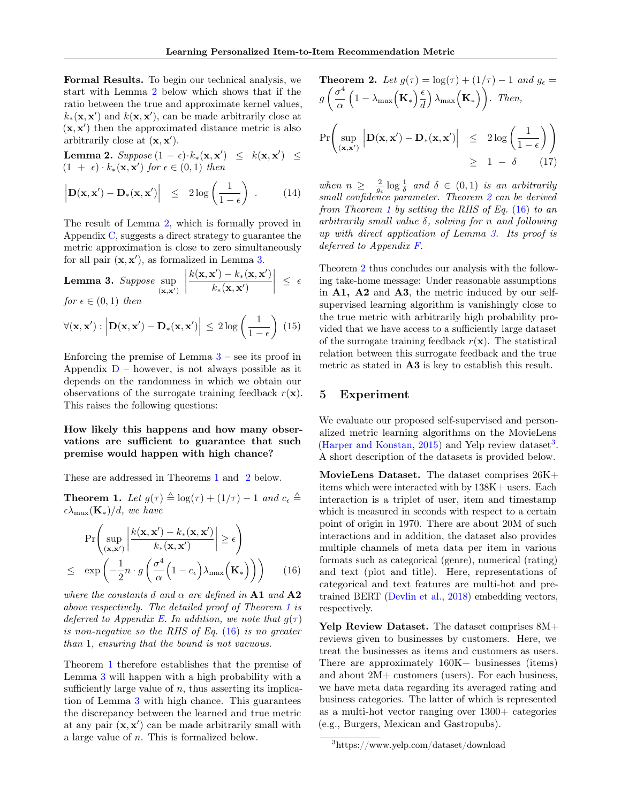Formal Results. To begin our technical analysis, we start with Lemma [2](#page-5-3) below which shows that if the ratio between the true and approximate kernel values,  $k_*(\mathbf{x}, \mathbf{x}')$  and  $k(\mathbf{x}, \mathbf{x}')$ , can be made arbitrarily close at  $(x, x')$  then the approximated distance metric is also arbitrarily close at  $(\mathbf{x}, \mathbf{x}')$ .

<span id="page-5-3"></span>Lemma 2. Suppose  $(1 - \epsilon) \cdot k_*(\mathbf{x}, \mathbf{x}') \leq k(\mathbf{x}, \mathbf{x}') \leq$  $(1 + \epsilon) \cdot k_*(\mathbf{x}, \mathbf{x}')$  for  $\epsilon \in (0, 1)$  then

$$
\left| \mathbf{D}(\mathbf{x}, \mathbf{x}') - \mathbf{D}_*(\mathbf{x}, \mathbf{x}') \right| \leq 2 \log \left( \frac{1}{1 - \epsilon} \right) . \tag{14}
$$

The result of Lemma [2,](#page-5-3) which is formally proved in Appendix [C,](#page-12-1) suggests a direct strategy to guarantee the metric approximation is close to zero simultaneously for all pair  $(x, x')$ , as formalized in Lemma [3.](#page-5-4)

<span id="page-5-4"></span>**Lemma 3.** Suppose 
$$
\sup_{(\mathbf{x}, \mathbf{x}')} \left| \frac{k(\mathbf{x}, \mathbf{x}') - k_*(\mathbf{x}, \mathbf{x}')}{k_*(\mathbf{x}, \mathbf{x}')} \right| \le \epsilon
$$
  
for  $\epsilon \in (0, 1)$  then

$$
\forall (\mathbf{x}, \mathbf{x}') : \left| \mathbf{D}(\mathbf{x}, \mathbf{x}') - \mathbf{D}_*(\mathbf{x}, \mathbf{x}') \right| \leq 2 \log \left( \frac{1}{1 - \epsilon} \right) (15)
$$

Enforcing the premise of Lemma  $3$  – see its proof in Appendix  $D$  – however, is not always possible as it depends on the randomness in which we obtain our observations of the surrogate training feedback  $r(\mathbf{x})$ . This raises the following questions:

How likely this happens and how many observations are sufficient to guarantee that such premise would happen with high chance?

These are addressed in Theorems [1](#page-5-0) and [2](#page-5-1) below.

<span id="page-5-0"></span>**Theorem 1.** Let  $g(\tau) \triangleq \log(\tau) + (1/\tau) - 1$  and  $c_{\epsilon} \triangleq$  $\epsilon \lambda_{\max}(\mathbf{K}_{*})/d$ , we have

<span id="page-5-5"></span>
$$
\Pr\left(\sup_{(\mathbf{x}, \mathbf{x}')} \left| \frac{k(\mathbf{x}, \mathbf{x}') - k_*(\mathbf{x}, \mathbf{x}')}{k_*(\mathbf{x}, \mathbf{x}')} \right| \ge \epsilon\right)
$$
  
 
$$
\le \exp\left(-\frac{1}{2}n \cdot g\left(\frac{\sigma^4}{\alpha}\left(1 - c_{\epsilon}\right)\lambda_{\max}\left(\mathbf{K}_*\right)\right)\right) \qquad (16)
$$

where the constants d and  $\alpha$  are defined in A1 and A2 above respectively. The detailed proof of Theorem [1](#page-5-0) is deferred to Appendix [E.](#page-13-0) In addition, we note that  $g(\tau)$ is non-negative so the RHS of Eq. [\(16\)](#page-5-5) is no greater than 1, ensuring that the bound is not vacuous.

Theorem [1](#page-5-0) therefore establishes that the premise of Lemma [3](#page-5-4) will happen with a high probability with a sufficiently large value of  $n$ , thus asserting its implication of Lemma [3](#page-5-4) with high chance. This guarantees the discrepancy between the learned and true metric at any pair  $(x, x')$  can be made arbitrarily small with a large value of n. This is formalized below.

<span id="page-5-1"></span>**Theorem 2.** Let 
$$
g(\tau) = \log(\tau) + (1/\tau) - 1
$$
 and  $g_{\epsilon} =$   
\n $g\left(\frac{\sigma^4}{\alpha} \left(1 - \lambda_{\max}\left(\mathbf{K}_*\right)\frac{\epsilon}{d}\right) \lambda_{\max}\left(\mathbf{K}_*\right)\right)$ . Then,  
\n $\Pr\left(\sup_{(\mathbf{x}, \mathbf{x}')} \left| \mathbf{D}(\mathbf{x}, \mathbf{x}') - \mathbf{D}_*(\mathbf{x}, \mathbf{x}')\right| \leq 2 \log\left(\frac{1}{1-\epsilon}\right)\right)$   
\n $\geq 1 - \delta$  (17)

when  $n \geq \frac{2}{g_{\epsilon}} \log \frac{1}{\delta}$  and  $\delta \in (0,1)$  is an arbitrarily small confidence parameter. Theorem [2](#page-5-1) can be derived from Theorem [1](#page-5-0) by setting the RHS of Eq.  $(16)$  to an arbitrarily small value  $\delta$ , solving for n and following up with direct application of Lemma [3.](#page-5-4) Its proof is deferred to Appendix [F.](#page-14-0)

Theorem [2](#page-5-1) thus concludes our analysis with the following take-home message: Under reasonable assumptions in A1, A2 and A3, the metric induced by our selfsupervised learning algorithm is vanishingly close to the true metric with arbitrarily high probability provided that we have access to a sufficiently large dataset of the surrogate training feedback  $r(\mathbf{x})$ . The statistical relation between this surrogate feedback and the true metric as stated in A3 is key to establish this result.

## <span id="page-5-2"></span>5 Experiment

We evaluate our proposed self-supervised and personalized metric learning algorithms on the MovieLens [\(Harper and Konstan,](#page-9-16) [2015\)](#page-9-16) and Yelp review dataset<sup>[3](#page-5-6)</sup>. A short description of the datasets is provided below.

MovieLens Dataset. The dataset comprises 26K+ items which were interacted with by 138K+ users. Each interaction is a triplet of user, item and timestamp which is measured in seconds with respect to a certain point of origin in 1970. There are about 20M of such interactions and in addition, the dataset also provides multiple channels of meta data per item in various formats such as categorical (genre), numerical (rating) and text (plot and title). Here, representations of categorical and text features are multi-hot and pretrained BERT [\(Devlin et al.,](#page-9-27) [2018\)](#page-9-27) embedding vectors, respectively.

Yelp Review Dataset. The dataset comprises 8M+ reviews given to businesses by customers. Here, we treat the businesses as items and customers as users. There are approximately 160K+ businesses (items) and about 2M+ customers (users). For each business, we have meta data regarding its averaged rating and business categories. The latter of which is represented as a multi-hot vector ranging over  $1300+$  categories (e.g., Burgers, Mexican and Gastropubs).

<span id="page-5-6"></span><sup>3</sup>https://www.yelp.com/dataset/download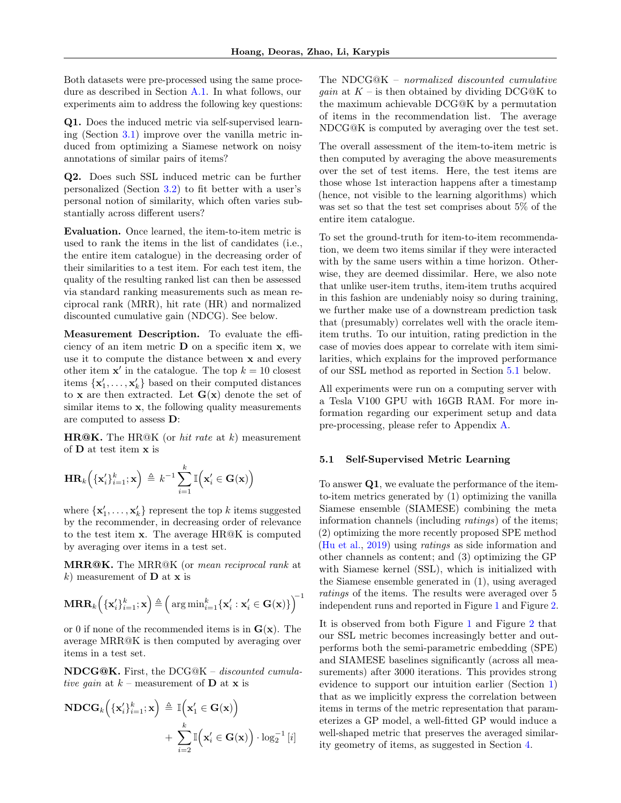Both datasets were pre-processed using the same procedure as described in Section [A.1.](#page-11-0) In what follows, our experiments aim to address the following key questions:

Q1. Does the induced metric via self-supervised learning (Section [3.1\)](#page-2-0) improve over the vanilla metric induced from optimizing a Siamese network on noisy annotations of similar pairs of items?

Q2. Does such SSL induced metric can be further personalized (Section [3.2\)](#page-3-0) to fit better with a user's personal notion of similarity, which often varies substantially across different users?

Evaluation. Once learned, the item-to-item metric is used to rank the items in the list of candidates (i.e., the entire item catalogue) in the decreasing order of their similarities to a test item. For each test item, the quality of the resulting ranked list can then be assessed via standard ranking measurements such as mean reciprocal rank (MRR), hit rate (HR) and normalized discounted cumulative gain (NDCG). See below.

Measurement Description. To evaluate the efficiency of an item metric  $\bf{D}$  on a specific item  $\bf{x}$ , we use it to compute the distance between x and every other item  $x'$  in the catalogue. The top  $k = 10$  closest items  $\{\mathbf x'_1,\ldots,\mathbf x'_k\}$  based on their computed distances to **x** are then extracted. Let  $G(x)$  denote the set of similar items to  $x$ , the following quality measurements are computed to assess D:

**HR@K.** The HR@K (or *hit rate* at  $k$ ) measurement of D at test item x is

$$
\mathbf{HR}_k\Big(\{\mathbf{x}'_i\}_{i=1}^k;\mathbf{x}\Big) \triangleq k^{-1}\sum_{i=1}^k \mathbb{I}\Big(\mathbf{x}'_i \in \mathbf{G}(\mathbf{x})\Big)
$$

where  $\{\mathbf x_1', \ldots, \mathbf x_k'\}$  represent the top k items suggested by the recommender, in decreasing order of relevance to the test item x. The average HR@K is computed by averaging over items in a test set.

MRR@K. The MRR@K (or mean reciprocal rank at k) measurement of  **at**  $**x**$  **is** 

$$
\operatorname{{\bf MRR}}_k\Big(\{\mathbf{x}'_i\}_{i=1}^k; \mathbf{x}\Big) \triangleq \Big(\operatorname{{\rm arg\,min}}_{i=1}^k\{\mathbf{x}'_i:\mathbf{x}'_i \in \mathbf{G}(\mathbf{x})\}\Big)^{\!-1}
$$

or 0 if none of the recommended items is in  $G(x)$ . The average MRR@K is then computed by averaging over items in a test set.

NDCG@K. First, the DCG@K – discounted cumulative gain at  $k$  – measurement of **D** at **x** is

$$
\begin{aligned} \mathbf{NDCG}_{k}\Big(\{\mathbf{x}'_{i}\}_{i=1}^{k};\mathbf{x}\Big) &\triangleq \mathbb{I}\Big(\mathbf{x}'_{1} \in \mathbf{G}(\mathbf{x})\Big) \\ &+ \sum_{i=2}^{k} \mathbb{I}\Big(\mathbf{x}'_{i} \in \mathbf{G}(\mathbf{x})\Big) \cdot \log_{2}^{-1}\left[i\right] \end{aligned}
$$

The NDCG@K – normalized discounted cumulative *gain* at  $K$  – is then obtained by dividing DCG@K to the maximum achievable DCG@K by a permutation of items in the recommendation list. The average NDCG@K is computed by averaging over the test set.

The overall assessment of the item-to-item metric is then computed by averaging the above measurements over the set of test items. Here, the test items are those whose 1st interaction happens after a timestamp (hence, not visible to the learning algorithms) which was set so that the test set comprises about 5% of the entire item catalogue.

To set the ground-truth for item-to-item recommendation, we deem two items similar if they were interacted with by the same users within a time horizon. Otherwise, they are deemed dissimilar. Here, we also note that unlike user-item truths, item-item truths acquired in this fashion are undeniably noisy so during training, we further make use of a downstream prediction task that (presumably) correlates well with the oracle itemitem truths. To our intuition, rating prediction in the case of movies does appear to correlate with item similarities, which explains for the improved performance of our SSL method as reported in Section [5.1](#page-6-0) below.

All experiments were run on a computing server with a Tesla V100 GPU with 16GB RAM. For more information regarding our experiment setup and data pre-processing, please refer to Appendix [A.](#page-11-1)

#### <span id="page-6-0"></span>5.1 Self-Supervised Metric Learning

To answer Q1, we evaluate the performance of the itemto-item metrics generated by (1) optimizing the vanilla Siamese ensemble (SIAMESE) combining the meta information channels (including ratings) of the items; (2) optimizing the more recently proposed SPE method [\(Hu et al.,](#page-9-3) [2019\)](#page-9-3) using ratings as side information and other channels as content; and (3) optimizing the GP with Siamese kernel (SSL), which is initialized with the Siamese ensemble generated in (1), using averaged ratings of the items. The results were averaged over 5 independent runs and reported in Figure [1](#page-7-0) and Figure [2.](#page-7-1)

It is observed from both Figure [1](#page-7-0) and Figure [2](#page-7-1) that our SSL metric becomes increasingly better and outperforms both the semi-parametric embedding (SPE) and SIAMESE baselines significantly (across all measurements) after 3000 iterations. This provides strong evidence to support our intuition earlier (Section [1\)](#page-0-0) that as we implicitly express the correlation between items in terms of the metric representation that parameterizes a GP model, a well-fitted GP would induce a well-shaped metric that preserves the averaged similarity geometry of items, as suggested in Section [4.](#page-4-0)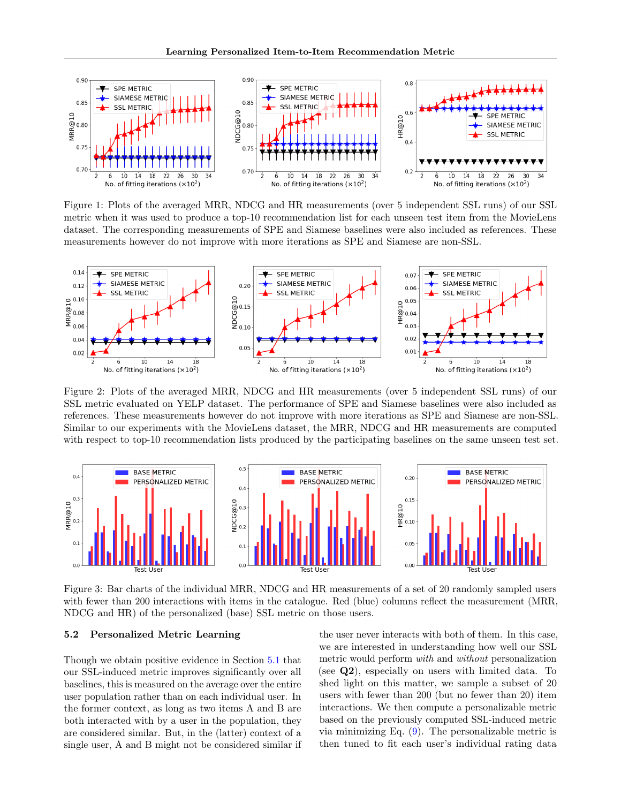

<span id="page-7-0"></span>Figure 1: Plots of the averaged MRR, NDCG and HR measurements (over 5 independent SSL runs) of our SSL metric when it was used to produce a top-10 recommendation list for each unseen test item from the MovieLens dataset. The corresponding measurements of SPE and Siamese baselines were also included as references. These measurements however do not improve with more iterations as SPE and Siamese are non-SSL.



<span id="page-7-1"></span>Figure 2: Plots of the averaged MRR, NDCG and HR measurements (over 5 independent SSL runs) of our SSL metric evaluated on YELP dataset. The performance of SPE and Siamese baselines were also included as references. These measurements however do not improve with more iterations as SPE and Siamese are non-SSL. Similar to our experiments with the MovieLens dataset, the MRR, NDCG and HR measurements are computed with respect to top-10 recommendation lists produced by the participating baselines on the same unseen test set.



<span id="page-7-2"></span>Figure 3: Bar charts of the individual MRR, NDCG and HR measurements of a set of 20 randomly sampled users with fewer than 200 interactions with items in the catalogue. Red (blue) columns reflect the measurement (MRR, NDCG and HR) of the personalized (base) SSL metric on those users.

#### 5.2 Personalized Metric Learning

Though we obtain positive evidence in Section [5.1](#page-6-0) that our SSL-induced metric improves significantly over all baselines, this is measured on the average over the entire user population rather than on each individual user. In the former context, as long as two items A and B are both interacted with by a user in the population, they are considered similar. But, in the (latter) context of a single user, A and B might not be considered similar if the user never interacts with both of them. In this case, we are interested in understanding how well our SSL metric would perform with and without personalization (see Q2), especially on users with limited data. To shed light on this matter, we sample a subset of 20 users with fewer than 200 (but no fewer than 20) item interactions. We then compute a personalizable metric based on the previously computed SSL-induced metric via minimizing Eq. [\(9\)](#page-3-5). The personalizable metric is then tuned to fit each user's individual rating data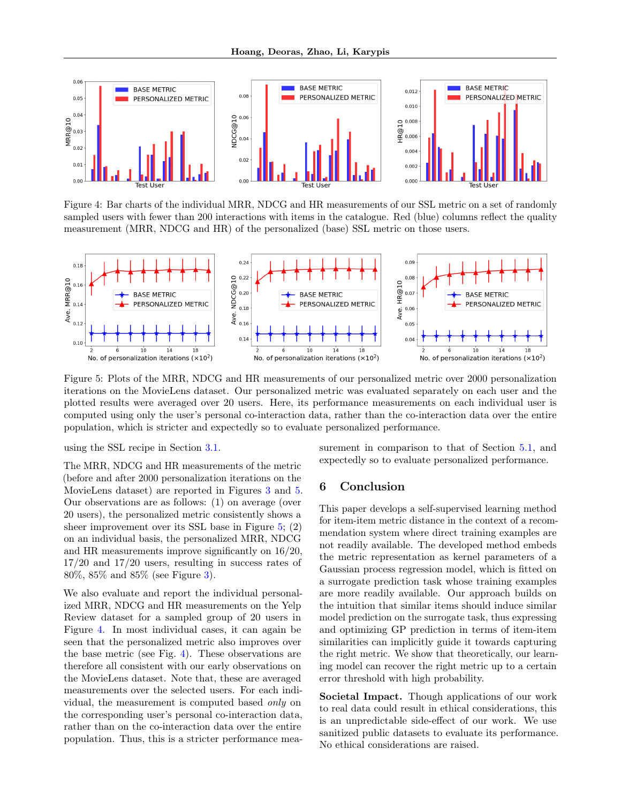

<span id="page-8-1"></span>Figure 4: Bar charts of the individual MRR, NDCG and HR measurements of our SSL metric on a set of randomly sampled users with fewer than 200 interactions with items in the catalogue. Red (blue) columns reflect the quality measurement (MRR, NDCG and HR) of the personalized (base) SSL metric on those users.



<span id="page-8-0"></span>Figure 5: Plots of the MRR, NDCG and HR measurements of our personalized metric over 2000 personalization iterations on the MovieLens dataset. Our personalized metric was evaluated separately on each user and the plotted results were averaged over 20 users. Here, its performance measurements on each individual user is computed using only the user's personal co-interaction data, rather than the co-interaction data over the entire population, which is stricter and expectedly so to evaluate personalized performance.

using the SSL recipe in Section [3.1.](#page-2-0)

The MRR, NDCG and HR measurements of the metric (before and after 2000 personalization iterations on the MovieLens dataset) are reported in Figures [3](#page-7-2) and [5.](#page-8-0) Our observations are as follows: (1) on average (over 20 users), the personalized metric consistently shows a sheer improvement over its SSL base in Figure [5;](#page-8-0) (2) on an individual basis, the personalized MRR, NDCG and HR measurements improve significantly on 16/20, 17/20 and 17/20 users, resulting in success rates of 80%, 85% and 85% (see Figure [3\)](#page-7-2).

We also evaluate and report the individual personalized MRR, NDCG and HR measurements on the Yelp Review dataset for a sampled group of 20 users in Figure [4.](#page-8-1) In most individual cases, it can again be seen that the personalized metric also improves over the base metric (see Fig. [4\)](#page-8-1). These observations are therefore all consistent with our early observations on the MovieLens dataset. Note that, these are averaged measurements over the selected users. For each individual, the measurement is computed based only on the corresponding user's personal co-interaction data, rather than on the co-interaction data over the entire population. Thus, this is a stricter performance measurement in comparison to that of Section [5.1,](#page-6-0) and expectedly so to evaluate personalized performance.

## 6 Conclusion

This paper develops a self-supervised learning method for item-item metric distance in the context of a recommendation system where direct training examples are not readily available. The developed method embeds the metric representation as kernel parameters of a Gaussian process regression model, which is fitted on a surrogate prediction task whose training examples are more readily available. Our approach builds on the intuition that similar items should induce similar model prediction on the surrogate task, thus expressing and optimizing GP prediction in terms of item-item similarities can implicitly guide it towards capturing the right metric. We show that theoretically, our learning model can recover the right metric up to a certain error threshold with high probability.

Societal Impact. Though applications of our work to real data could result in ethical considerations, this is an unpredictable side-effect of our work. We use sanitized public datasets to evaluate its performance. No ethical considerations are raised.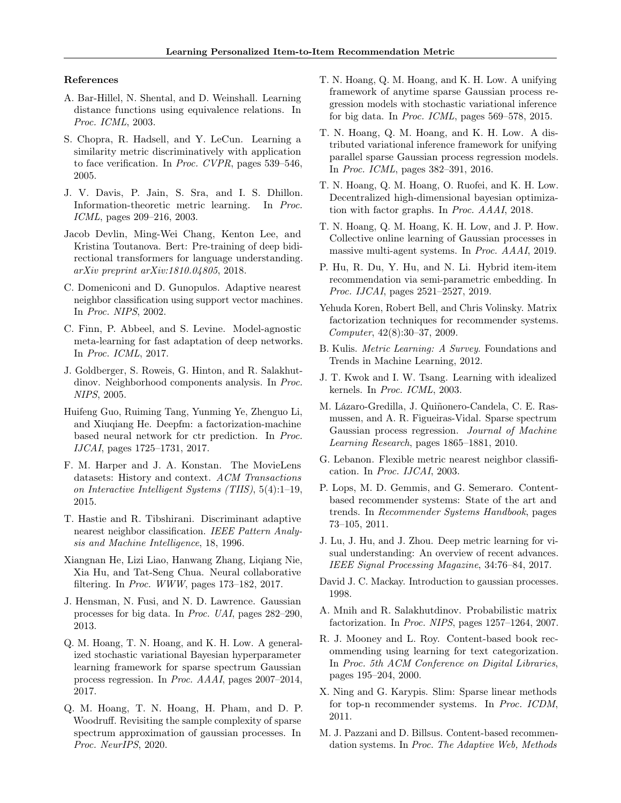#### References

- <span id="page-9-7"></span>A. Bar-Hillel, N. Shental, and D. Weinshall. Learning distance functions using equivalence relations. In Proc. ICML, 2003.
- <span id="page-9-11"></span>S. Chopra, R. Hadsell, and Y. LeCun. Learning a similarity metric discriminatively with application to face verification. In Proc. CVPR, pages 539–546, 2005.
- <span id="page-9-8"></span>J. V. Davis, P. Jain, S. Sra, and I. S. Dhillon. Information-theoretic metric learning. In Proc. ICML, pages 209–216, 2003.
- <span id="page-9-27"></span>Jacob Devlin, Ming-Wei Chang, Kenton Lee, and Kristina Toutanova. Bert: Pre-training of deep bidirectional transformers for language understanding. arXiv preprint arXiv:1810.04805, 2018.
- <span id="page-9-17"></span>C. Domeniconi and D. Gunopulos. Adaptive nearest neighbor classification using support vector machines. In Proc. NIPS, 2002.
- <span id="page-9-26"></span>C. Finn, P. Abbeel, and S. Levine. Model-agnostic meta-learning for fast adaptation of deep networks. In Proc. ICML, 2017.
- <span id="page-9-12"></span>J. Goldberger, S. Roweis, G. Hinton, and R. Salakhutdinov. Neighborhood components analysis. In Proc. NIPS, 2005.
- <span id="page-9-14"></span>Huifeng Guo, Ruiming Tang, Yunming Ye, Zhenguo Li, and Xiuqiang He. Deepfm: a factorization-machine based neural network for ctr prediction. In Proc. IJCAI, pages 1725–1731, 2017.
- <span id="page-9-16"></span>F. M. Harper and J. A. Konstan. The MovieLens datasets: History and context. ACM Transactions on Interactive Intelligent Systems (TIIS), 5(4):1–19, 2015.
- <span id="page-9-18"></span>T. Hastie and R. Tibshirani. Discriminant adaptive nearest neighbor classification. IEEE Pattern Analysis and Machine Intelligence, 18, 1996.
- <span id="page-9-1"></span>Xiangnan He, Lizi Liao, Hanwang Zhang, Liqiang Nie, Xia Hu, and Tat-Seng Chua. Neural collaborative filtering. In Proc. WWW, pages 173–182, 2017.
- <span id="page-9-22"></span>J. Hensman, N. Fusi, and N. D. Lawrence. Gaussian processes for big data. In Proc. UAI, pages 282–290, 2013.
- <span id="page-9-28"></span>Q. M. Hoang, T. N. Hoang, and K. H. Low. A generalized stochastic variational Bayesian hyperparameter learning framework for sparse spectrum Gaussian process regression. In Proc. AAAI, pages 2007–2014, 2017.
- <span id="page-9-25"></span>Q. M. Hoang, T. N. Hoang, H. Pham, and D. P. Woodruff. Revisiting the sample complexity of sparse spectrum approximation of gaussian processes. In Proc. NeurIPS, 2020.
- <span id="page-9-23"></span>T. N. Hoang, Q. M. Hoang, and K. H. Low. A unifying framework of anytime sparse Gaussian process regression models with stochastic variational inference for big data. In Proc. ICML, pages 569–578, 2015.
- <span id="page-9-24"></span>T. N. Hoang, Q. M. Hoang, and K. H. Low. A distributed variational inference framework for unifying parallel sparse Gaussian process regression models. In Proc. ICML, pages 382–391, 2016.
- <span id="page-9-30"></span>T. N. Hoang, Q. M. Hoang, O. Ruofei, and K. H. Low. Decentralized high-dimensional bayesian optimization with factor graphs. In Proc. AAAI, 2018.
- <span id="page-9-29"></span>T. N. Hoang, Q. M. Hoang, K. H. Low, and J. P. How. Collective online learning of Gaussian processes in massive multi-agent systems. In Proc. AAAI, 2019.
- <span id="page-9-3"></span>P. Hu, R. Du, Y. Hu, and N. Li. Hybrid item-item recommendation via semi-parametric embedding. In Proc. IJCAI, pages 2521–2527, 2019.
- <span id="page-9-15"></span>Yehuda Koren, Robert Bell, and Chris Volinsky. Matrix factorization techniques for recommender systems. Computer, 42(8):30–37, 2009.
- <span id="page-9-9"></span>B. Kulis. Metric Learning: A Survey. Foundations and Trends in Machine Learning, 2012.
- <span id="page-9-19"></span>J. T. Kwok and I. W. Tsang. Learning with idealized kernels. In Proc. ICML, 2003.
- <span id="page-9-21"></span>M. Lázaro-Gredilla, J. Quiñonero-Candela, C. E. Rasmussen, and A. R. Figueiras-Vidal. Sparse spectrum Gaussian process regression. Journal of Machine Learning Research, pages 1865–1881, 2010.
- <span id="page-9-10"></span>G. Lebanon. Flexible metric nearest neighbor classification. In Proc. IJCAI, 2003.
- <span id="page-9-4"></span>P. Lops, M. D. Gemmis, and G. Semeraro. Contentbased recommender systems: State of the art and trends. In Recommender Systems Handbook, pages 73–105, 2011.
- <span id="page-9-13"></span>J. Lu, J. Hu, and J. Zhou. Deep metric learning for visual understanding: An overview of recent advances. IEEE Signal Processing Magazine, 34:76–84, 2017.
- <span id="page-9-20"></span>David J. C. Mackay. Introduction to gaussian processes. 1998.
- <span id="page-9-2"></span>A. Mnih and R. Salakhutdinov. Probabilistic matrix factorization. In Proc. NIPS, pages 1257–1264, 2007.
- <span id="page-9-5"></span>R. J. Mooney and L. Roy. Content-based book recommending using learning for text categorization. In Proc. 5th ACM Conference on Digital Libraries, pages 195–204, 2000.
- <span id="page-9-0"></span>X. Ning and G. Karypis. Slim: Sparse linear methods for top-n recommender systems. In Proc. ICDM, 2011.
- <span id="page-9-6"></span>M. J. Pazzani and D. Billsus. Content-based recommendation systems. In Proc. The Adaptive Web, Methods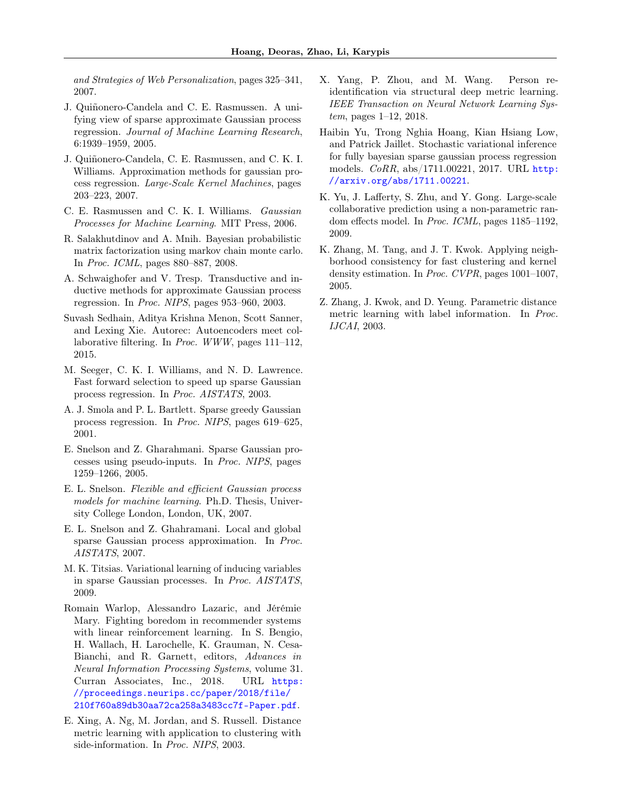and Strategies of Web Personalization, pages 325–341, 2007.

- <span id="page-10-13"></span>J. Quiñonero-Candela and C. E. Rasmussen. A unifying view of sparse approximate Gaussian process regression. Journal of Machine Learning Research, 6:1939–1959, 2005.
- <span id="page-10-10"></span>J. Quiñonero-Candela, C. E. Rasmussen, and C. K. I. Williams. Approximation methods for gaussian process regression. Large-Scale Kernel Machines, pages 203–223, 2007.
- <span id="page-10-6"></span>C. E. Rasmussen and C. K. I. Williams. Gaussian Processes for Machine Learning. MIT Press, 2006.
- <span id="page-10-0"></span>R. Salakhutdinov and A. Mnih. Bayesian probabilistic matrix factorization using markov chain monte carlo. In Proc. ICML, pages 880–887, 2008.
- <span id="page-10-14"></span>A. Schwaighofer and V. Tresp. Transductive and inductive methods for approximate Gaussian process regression. In Proc. NIPS, pages 953–960, 2003.
- <span id="page-10-4"></span>Suvash Sedhain, Aditya Krishna Menon, Scott Sanner, and Lexing Xie. Autorec: Autoencoders meet collaborative filtering. In Proc. WWW, pages 111–112, 2015.
- <span id="page-10-15"></span>M. Seeger, C. K. I. Williams, and N. D. Lawrence. Fast forward selection to speed up sparse Gaussian process regression. In Proc. AISTATS, 2003.
- <span id="page-10-16"></span>A. J. Smola and P. L. Bartlett. Sparse greedy Gaussian process regression. In Proc. NIPS, pages 619–625, 2001.
- <span id="page-10-17"></span>E. Snelson and Z. Gharahmani. Sparse Gaussian processes using pseudo-inputs. In Proc. NIPS, pages 1259–1266, 2005.
- <span id="page-10-11"></span>E. L. Snelson. Flexible and efficient Gaussian process models for machine learning. Ph.D. Thesis, University College London, London, UK, 2007.
- <span id="page-10-18"></span>E. L. Snelson and Z. Ghahramani. Local and global sparse Gaussian process approximation. In Proc. AISTATS, 2007.
- <span id="page-10-9"></span>M. K. Titsias. Variational learning of inducing variables in sparse Gaussian processes. In Proc. AISTATS, 2009.
- <span id="page-10-5"></span>Romain Warlop, Alessandro Lazaric, and Jérémie Mary. Fighting boredom in recommender systems with linear reinforcement learning. In S. Bengio, H. Wallach, H. Larochelle, K. Grauman, N. Cesa-Bianchi, and R. Garnett, editors, Advances in Neural Information Processing Systems, volume 31. Curran Associates, Inc., 2018. URL [https:](https://proceedings.neurips.cc/paper/2018/file/210f760a89db30aa72ca258a3483cc7f-Paper.pdf) [//proceedings.neurips.cc/paper/2018/file/](https://proceedings.neurips.cc/paper/2018/file/210f760a89db30aa72ca258a3483cc7f-Paper.pdf) [210f760a89db30aa72ca258a3483cc7f-Paper.pdf](https://proceedings.neurips.cc/paper/2018/file/210f760a89db30aa72ca258a3483cc7f-Paper.pdf).
- <span id="page-10-2"></span>E. Xing, A. Ng, M. Jordan, and S. Russell. Distance metric learning with application to clustering with side-information. In Proc. NIPS, 2003.
- <span id="page-10-3"></span>X. Yang, P. Zhou, and M. Wang. Person reidentification via structural deep metric learning. IEEE Transaction on Neural Network Learning System, pages 1–12, 2018.
- <span id="page-10-12"></span>Haibin Yu, Trong Nghia Hoang, Kian Hsiang Low, and Patrick Jaillet. Stochastic variational inference for fully bayesian sparse gaussian process regression models. CoRR, abs/1711.00221, 2017. URL [http:](http://arxiv.org/abs/1711.00221) [//arxiv.org/abs/1711.00221](http://arxiv.org/abs/1711.00221).
- <span id="page-10-1"></span>K. Yu, J. Lafferty, S. Zhu, and Y. Gong. Large-scale collaborative prediction using a non-parametric random effects model. In Proc. ICML, pages 1185–1192, 2009.
- <span id="page-10-7"></span>K. Zhang, M. Tang, and J. T. Kwok. Applying neighborhood consistency for fast clustering and kernel density estimation. In Proc. CVPR, pages 1001–1007, 2005.
- <span id="page-10-8"></span>Z. Zhang, J. Kwok, and D. Yeung. Parametric distance metric learning with label information. In Proc. IJCAI, 2003.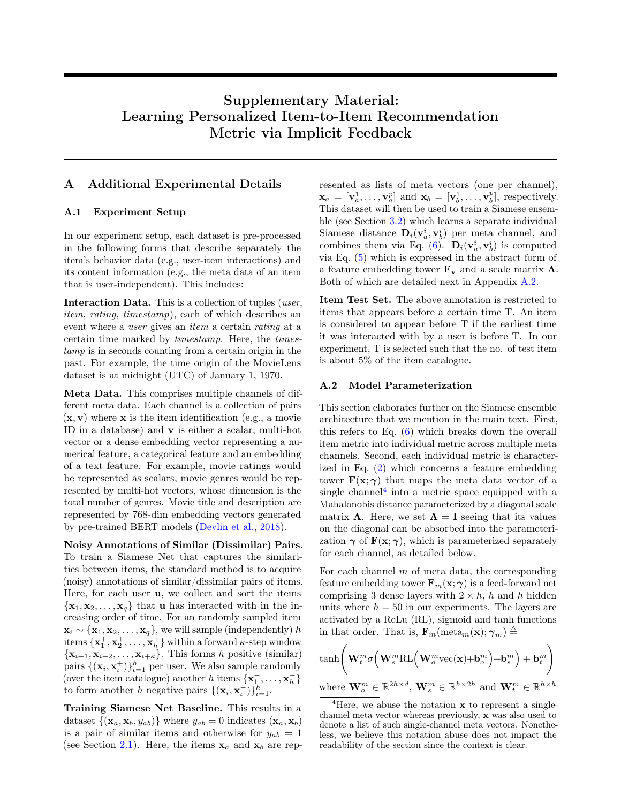# Supplementary Material: Learning Personalized Item-to-Item Recommendation Metric via Implicit Feedback

## <span id="page-11-1"></span>A Additional Experimental Details

#### <span id="page-11-0"></span>A.1 Experiment Setup

In our experiment setup, each dataset is pre-processed in the following forms that describe separately the item's behavior data (e.g., user-item interactions) and its content information (e.g., the meta data of an item that is user-independent). This includes:

Interaction Data. This is a collection of tuples (user, item, rating, timestamp), each of which describes an event where a user gives an item a certain rating at a certain time marked by timestamp. Here, the timestamp is in seconds counting from a certain origin in the past. For example, the time origin of the MovieLens dataset is at midnight (UTC) of January 1, 1970.

Meta Data. This comprises multiple channels of different meta data. Each channel is a collection of pairs  $(x, v)$  where x is the item identification (e.g., a movie ID in a database) and v is either a scalar, multi-hot vector or a dense embedding vector representing a numerical feature, a categorical feature and an embedding of a text feature. For example, movie ratings would be represented as scalars, movie genres would be represented by multi-hot vectors, whose dimension is the total number of genres. Movie title and description are represented by 768-dim embedding vectors generated by pre-trained BERT models [\(Devlin et al.,](#page-9-27) [2018\)](#page-9-27).

Noisy Annotations of Similar (Dissimilar) Pairs. To train a Siamese Net that captures the similarities between items, the standard method is to acquire (noisy) annotations of similar/dissimilar pairs of items. Here, for each user u, we collect and sort the items  ${x_1, x_2, \ldots, x_q}$  that **u** has interacted with in the increasing order of time. For an randomly sampled item  $\mathbf{x}_i \sim {\mathbf{x}_1, \mathbf{x}_2, \dots, \mathbf{x}_q}$ , we will sample (independently) h items  $\{x_1^+, x_2^+, \ldots, x_h^+\}$  within a forward  $\kappa$ -step window  $\{x_{i+1}, x_{i+2}, \ldots, x_{i+\kappa}\}.$  This forms h positive (similar) pairs  $\{(\mathbf{x}_i, \mathbf{x}_i^{\dagger})\}_{i=1}^h$  per user. We also sample randomly (over the item catalogue) another h items  $\{x_1^-, \ldots, x_h^-\}$ to form another h negative pairs  $\{(\mathbf{x}_i, \mathbf{x}_i^{\dagger})\}_{i=1}^h$ .

Training Siamese Net Baseline. This results in a dataset  $\{(\mathbf{x}_a, \mathbf{x}_b, y_{ab})\}$  where  $y_{ab} = 0$  indicates  $(\mathbf{x}_a, \mathbf{x}_b)$ is a pair of similar items and otherwise for  $y_{ab} = 1$ (see Section [2.1\)](#page-1-1). Here, the items  $x_a$  and  $x_b$  are represented as lists of meta vectors (one per channel),  $\mathbf{x}_a = [\mathbf{v}_a^1, \dots, \mathbf{v}_a^p]$  and  $\mathbf{x}_b = [\mathbf{v}_b^1, \dots, \mathbf{v}_b^p]$ , respectively. This dataset will then be used to train a Siamese ensemble (see Section [3.2\)](#page-3-0) which learns a separate individual Siamese distance  $D_i(v_a^i, v_b^i)$  per meta channel, and combines them via Eq. [\(6\)](#page-3-1).  $\mathbf{D}_i(\mathbf{v}_a^i, \mathbf{v}_b^i)$  is computed via Eq. [\(5\)](#page-2-4) which is expressed in the abstract form of a feature embedding tower  $\mathbf{F}_{\mathbf{v}}$  and a scale matrix  $\Lambda$ . Both of which are detailed next in Appendix [A.2.](#page-11-2)

Item Test Set. The above annotation is restricted to items that appears before a certain time T. An item is considered to appear before T if the earliest time it was interacted with by a user is before T. In our experiment, T is selected such that the no. of test item is about 5% of the item catalogue.

#### <span id="page-11-2"></span>A.2 Model Parameterization

This section elaborates further on the Siamese ensemble architecture that we mention in the main text. First, this refers to Eq. [\(6\)](#page-3-1) which breaks down the overall item metric into individual metric across multiple meta channels. Second, each individual metric is characterized in Eq. [\(2\)](#page-2-5) which concerns a feature embedding tower  $\mathbf{F}(\mathbf{x}; \gamma)$  that maps the meta data vector of a single channel<sup>[4](#page-11-3)</sup> into a metric space equipped with a Mahalonobis distance parameterized by a diagonal scale matrix  $\Lambda$ . Here, we set  $\Lambda = I$  seeing that its values on the diagonal can be absorbed into the parameterization  $\gamma$  of  $\mathbf{F}(\mathbf{x}; \gamma)$ , which is parameterized separately for each channel, as detailed below.

For each channel  $m$  of meta data, the corresponding feature embedding tower  $\mathbf{F}_m(\mathbf{x}; \gamma)$  is a feed-forward net comprising 3 dense layers with  $2 \times h$ , h and h hidden units where  $h = 50$  in our experiments. The layers are activated by a ReLu (RL), sigmoid and tanh functions in that order. That is,  $\mathbf{F}_m(\text{meta}_m(\mathbf{x}); \gamma_m) \triangleq$ 

$$
\begin{aligned}\n\text{tanh}\bigg(\mathbf{W}_{t}^{m}\sigma\Big(\mathbf{W}_{s}^{m}\text{RL}\Big(\mathbf{W}_{o}^{m}\text{vec}(\mathbf{x})+\mathbf{b}_{o}^{m}\Big)+\mathbf{b}_{s}^{m}\Big)+\mathbf{b}_{t}^{m}\bigg) \\
\text{where } \mathbf{W}_{o}^{m} \in \mathbb{R}^{2h \times d}, \mathbf{W}_{s}^{m} \in \mathbb{R}^{h \times 2h} \text{ and } \mathbf{W}_{t}^{m} \in \mathbb{R}^{h \times h}\n\end{aligned}
$$

<span id="page-11-3"></span><sup>&</sup>lt;sup>4</sup>Here, we abuse the notation  $x$  to represent a singlechannel meta vector whereas previously, x was also used to denote a list of such single-channel meta vectors. Nonetheless, we believe this notation abuse does not impact the readability of the section since the context is clear.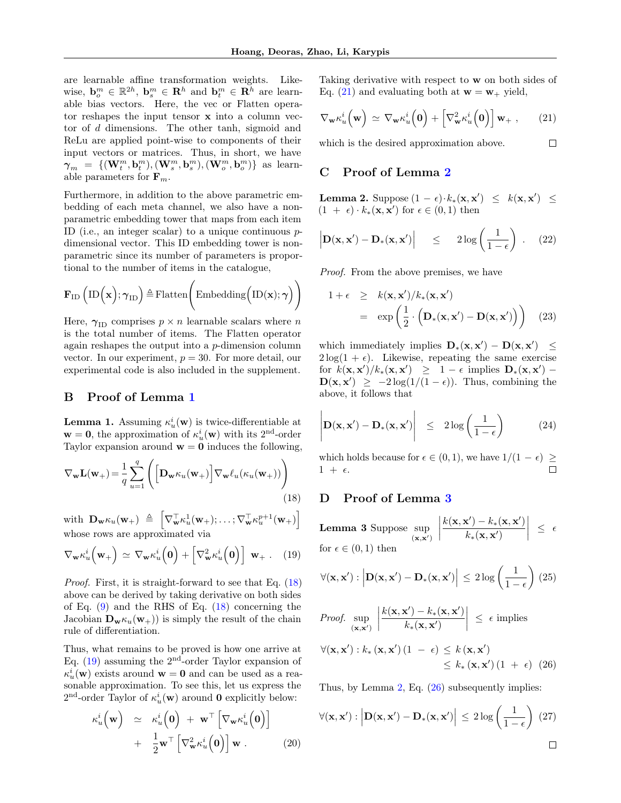are learnable affine transformation weights. Likewise,  $\mathbf{b}_{o}^{m} \in \mathbb{R}^{2h}$ ,  $\mathbf{b}_{s}^{m} \in \mathbb{R}^{h}$  and  $\mathbf{b}_{t}^{m} \in \mathbb{R}^{\bar{h}}$  are learnable bias vectors. Here, the vec or Flatten operator reshapes the input tensor x into a column vector of d dimensions. The other tanh, sigmoid and ReLu are applied point-wise to components of their input vectors or matrices. Thus, in short, we have  $\boldsymbol{\gamma}_m = \{ (\mathbf{W}^m_t, \mathbf{b}^m_t), (\mathbf{W}^m_s, \mathbf{b}^m_s), (\mathbf{W}^m_o, \mathbf{b}^m_o) \}$  as learnable parameters for  $\mathbf{F}_m$ .

Furthermore, in addition to the above parametric embedding of each meta channel, we also have a nonparametric embedding tower that maps from each item ID (i.e., an integer scalar) to a unique continuous  $p$ dimensional vector. This ID embedding tower is nonparametric since its number of parameters is proportional to the number of items in the catalogue,

$$
\mathbf{F}_{\mathrm{ID}}\left(\mathrm{ID}\left(\mathbf{x}\right);\boldsymbol{\gamma}_{\mathrm{ID}}\right)\triangleq\mathrm{Flatten}\Bigg(\mathrm{Embedding}\Big(\mathrm{ID}(\mathbf{x});\boldsymbol{\gamma}\Big)\Bigg)
$$

Here,  $\gamma_{\text{ID}}$  comprises  $p \times n$  learnable scalars where n is the total number of items. The Flatten operator again reshapes the output into a  $p$ -dimension column vector. In our experiment,  $p = 30$ . For more detail, our experimental code is also included in the supplement.

#### <span id="page-12-0"></span>B Proof of Lemma [1](#page-4-1)

**Lemma 1.** Assuming  $\kappa_u^i(\mathbf{w})$  is twice-differentiable at  $\mathbf{w} = \mathbf{0}$ , the approximation of  $\kappa_u^i(\mathbf{w})$  with its 2<sup>nd</sup>-order Taylor expansion around  $w = 0$  induces the following,

<span id="page-12-3"></span>
$$
\nabla_{\mathbf{w}} \mathbf{L}(\mathbf{w}_{+}) = \frac{1}{q} \sum_{u=1}^{q} \left( \left[ \mathbf{D}_{\mathbf{w}} \kappa_{u}(\mathbf{w}_{+}) \right] \nabla_{\mathbf{w}} \ell_{u}(\kappa_{u}(\mathbf{w}_{+})) \right)
$$
\n(18)

with  $\mathbf{D_w}\kappa_u(\mathbf{w}_+) \triangleq \begin{bmatrix} \nabla_{\mathbf{w}}^{\top}\kappa_u^1(\mathbf{w}_+);\ldots;\nabla_{\mathbf{w}}^{\top}\kappa_u^{p+1}(\mathbf{w}_+) \end{bmatrix}$ whose rows are approximated via

<span id="page-12-4"></span>
$$
\nabla_{\mathbf{w}} \kappa_u^i\left(\mathbf{w}_+\right) \simeq \nabla_{\mathbf{w}} \kappa_u^i\left(\mathbf{0}\right) + \left[\nabla_{\mathbf{w}}^2 \kappa_u^i\left(\mathbf{0}\right)\right] \mathbf{w}_+ \ . \tag{19}
$$

Proof. First, it is straight-forward to see that Eq. [\(18\)](#page-12-3) above can be derived by taking derivative on both sides of Eq.  $(9)$  and the RHS of Eq.  $(18)$  concerning the Jacobian  $\mathbf{D}_{\mathbf{w}} \kappa_u(\mathbf{w}_+)$  is simply the result of the chain rule of differentiation.

Thus, what remains to be proved is how one arrive at Eq.  $(19)$  assuming the  $2<sup>nd</sup>$ -order Taylor expansion of  $\kappa_u^i(\mathbf{w})$  exists around  $\mathbf{w} = \mathbf{0}$  and can be used as a reasonable approximation. To see this, let us express the  $2<sup>nd</sup>$ -order Taylor of  $\kappa_u^i(\mathbf{w})$  around **0** explicitly below:

$$
\kappa_u^i\left(\mathbf{w}\right) \simeq \kappa_u^i\left(\mathbf{0}\right) + \mathbf{w}^\top \left[\nabla_{\mathbf{w}}\kappa_u^i\left(\mathbf{0}\right)\right] \n+ \frac{1}{2}\mathbf{w}^\top \left[\nabla_{\mathbf{w}}^2\kappa_u^i\left(\mathbf{0}\right)\right]\mathbf{w} .
$$
\n(20)

Taking derivative with respect to w on both sides of Eq. [\(21\)](#page-12-5) and evaluating both at  $w = w_+$  yield,

<span id="page-12-5"></span>
$$
\nabla_{\mathbf{w}} \kappa_u^i\left(\mathbf{w}\right) \simeq \nabla_{\mathbf{w}} \kappa_u^i\left(\mathbf{0}\right) + \left[\nabla_{\mathbf{w}}^2 \kappa_u^i\left(\mathbf{0}\right)\right] \mathbf{w}_+ , \qquad (21)
$$

 $\Box$ 

which is the desired approximation above.

# <span id="page-12-1"></span>C Proof of Lemma [2](#page-5-3)

**Lemma 2.** Suppose  $(1 - \epsilon) \cdot k_*(\mathbf{x}, \mathbf{x}') \leq k(\mathbf{x}, \mathbf{x}') \leq$  $(1 + \epsilon) \cdot k_*(\mathbf{x}, \mathbf{x}')$  for  $\epsilon \in (0, 1)$  then

$$
\left| \mathbf{D}(\mathbf{x}, \mathbf{x}') - \mathbf{D}_*(\mathbf{x}, \mathbf{x}') \right| \leq 2 \log \left( \frac{1}{1 - \epsilon} \right) . \quad (22)
$$

Proof. From the above premises, we have

$$
1 + \epsilon \geq k(\mathbf{x}, \mathbf{x'})/k_*(\mathbf{x}, \mathbf{x'})
$$
  
=  $\exp\left(\frac{1}{2} \cdot (\mathbf{D}_*(\mathbf{x}, \mathbf{x'}) - \mathbf{D}(\mathbf{x}, \mathbf{x'}))\right)$  (23)

which immediately implies  $\mathbf{D}_*(\mathbf{x}, \mathbf{x}') - \mathbf{D}(\mathbf{x}, \mathbf{x}') \leq$  $2\log(1+\epsilon)$ . Likewise, repeating the same exercise for  $k(\mathbf{x}, \mathbf{x}')/k_*(\mathbf{x}, \mathbf{x}') \geq 1 - \epsilon$  implies  $\mathbf{D}_*(\mathbf{x}, \mathbf{x}')$  $\mathbf{D}(\mathbf{x}, \mathbf{x}') \geq -2\log(1/(1-\epsilon))$ . Thus, combining the above, it follows that

$$
\left| \mathbf{D}(\mathbf{x}, \mathbf{x}') - \mathbf{D}_*(\mathbf{x}, \mathbf{x}') \right| \le 2 \log \left( \frac{1}{1 - \epsilon} \right) \tag{24}
$$

which holds because for  $\epsilon \in (0,1),$  we have  $1/(1\,-\,\epsilon)\; \geq$  $1 + \epsilon$ .

## <span id="page-12-2"></span>D Proof of Lemma [3](#page-5-4)

Lemma 3 Suppose sup  $(\mathbf{x},\mathbf{x}')$   $k(\mathbf{x}, \mathbf{x}') - k_*(\mathbf{x}, \mathbf{x}')$  $k_*(\mathbf{x}, \mathbf{x}')$  $\begin{array}{c} \begin{array}{c} \begin{array}{c} \end{array} \\ \begin{array}{c} \end{array} \end{array} \end{array}$  $\leq$   $\epsilon$ for  $\epsilon \in (0,1)$  then

$$
\forall (\mathbf{x}, \mathbf{x}') : \left| \mathbf{D}(\mathbf{x}, \mathbf{x}') - \mathbf{D}_*(\mathbf{x}, \mathbf{x}') \right| \leq 2 \log \left( \frac{1}{1 - \epsilon} \right) (25)
$$

*Proof.* 
$$
\sup_{(\mathbf{x}, \mathbf{x}')} \left| \frac{k(\mathbf{x}, \mathbf{x}') - k_*(\mathbf{x}, \mathbf{x}')}{k_*(\mathbf{x}, \mathbf{x}')} \right| \le \epsilon
$$
 implies  
 $\forall (\mathbf{x}, \mathbf{x}') : k_*(\mathbf{x}, \mathbf{x}') (1 - \epsilon) \le k(\mathbf{x}, \mathbf{x}')$ 

<span id="page-12-6"></span>
$$
\leq k_*\left(\mathbf{x},\mathbf{x}'\right)\left(1\ +\ \epsilon\right)\ (26)
$$

Thus, by Lemma [2,](#page-5-3) Eq. [\(26\)](#page-12-6) subsequently implies:

$$
\forall (\mathbf{x}, \mathbf{x}') : \left| \mathbf{D}(\mathbf{x}, \mathbf{x}') - \mathbf{D}_*(\mathbf{x}, \mathbf{x}') \right| \le 2 \log \left( \frac{1}{1 - \epsilon} \right) (27)
$$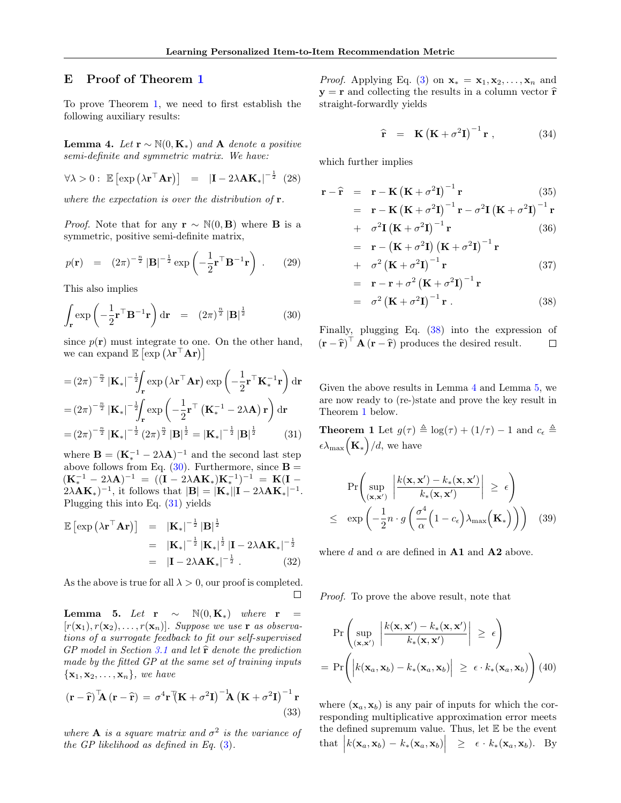## <span id="page-13-0"></span>E Proof of Theorem [1](#page-5-0)

To prove Theorem [1,](#page-5-0) we need to first establish the following auxiliary results:

<span id="page-13-4"></span>**Lemma 4.** Let  $\mathbf{r} \sim \mathbb{N}(0, \mathbf{K}_{*})$  and A denote a positive semi-definite and symmetric matrix. We have:

$$
\forall \lambda > 0: \ \mathbb{E}\left[\exp\left(\lambda \mathbf{r}^{\top} \mathbf{A} \mathbf{r}\right)\right] = \left|\mathbf{I} - 2\lambda \mathbf{A} \mathbf{K}_{*}\right|^{-\frac{1}{2}} \tag{28}
$$

where the expectation is over the distribution of **.** 

*Proof.* Note that for any  $\mathbf{r} \sim \mathbb{N}(0, \mathbf{B})$  where **B** is a symmetric, positive semi-definite matrix,

$$
p(\mathbf{r}) = (2\pi)^{-\frac{n}{2}} |\mathbf{B}|^{-\frac{1}{2}} \exp\left(-\frac{1}{2}\mathbf{r}^\top \mathbf{B}^{-1} \mathbf{r}\right) . \qquad (29)
$$

This also implies

<span id="page-13-1"></span>
$$
\int_{\mathbf{r}} \exp\left(-\frac{1}{2}\mathbf{r}^\top \mathbf{B}^{-1} \mathbf{r}\right) d\mathbf{r} = (2\pi)^{\frac{n}{2}} |\mathbf{B}|^{\frac{1}{2}} \tag{30}
$$

since  $p(\mathbf{r})$  must integrate to one. On the other hand, we can expand  $\mathbb{E} \left[ \exp \left( \lambda \mathbf{r}^\top \mathbf{A} \mathbf{r} \right) \right]$ 

<span id="page-13-2"></span>
$$
= (2\pi)^{-\frac{n}{2}} |\mathbf{K}_{*}|^{-\frac{1}{2}} \int_{\mathbf{r}} \exp\left(\lambda \mathbf{r}^{\top} \mathbf{A} \mathbf{r}\right) \exp\left(-\frac{1}{2} \mathbf{r}^{\top} \mathbf{K}_{*}^{-1} \mathbf{r}\right) d\mathbf{r}
$$

$$
= (2\pi)^{-\frac{n}{2}} |\mathbf{K}_{*}|^{-\frac{1}{2}} \int_{\mathbf{r}} \exp\left(-\frac{1}{2} \mathbf{r}^{\top} \left(\mathbf{K}_{*}^{-1} - 2\lambda \mathbf{A}\right) \mathbf{r}\right) d\mathbf{r}
$$

$$
= (2\pi)^{-\frac{n}{2}} |\mathbf{K}_{*}|^{-\frac{1}{2}} (2\pi)^{\frac{n}{2}} |\mathbf{B}|^{\frac{1}{2}} = |\mathbf{K}_{*}|^{-\frac{1}{2}} |\mathbf{B}|^{\frac{1}{2}} \qquad (31)
$$

where  $\mathbf{B} = (\mathbf{K}_{*}^{-1} - 2\lambda\mathbf{A})^{-1}$  and the second last step above follows from Eq.  $(30)$ . Furthermore, since **B** =  $({\bf K}_*^{-1} - 2\lambda {\bf A})^{-1} = (({\bf I} - 2\lambda {\bf A} {\bf K}_*) {\bf K}_*^{-1})^{-1} = {\bf K}({\bf I} 2\lambda A\mathbf{K}_{*}$ )<sup>-1</sup>, it follows that  $|\mathbf{B}| = |\mathbf{K}_{*}||\mathbf{I} - 2\lambda A\mathbf{K}_{*}|^{-1}$ . Plugging this into Eq. [\(31\)](#page-13-2) yields

$$
\mathbb{E}\left[\exp\left(\lambda \mathbf{r}^{\top} \mathbf{A} \mathbf{r}\right)\right] = |\mathbf{K}_*|^{-\frac{1}{2}} |\mathbf{B}|^{\frac{1}{2}} \n= |\mathbf{K}_*|^{-\frac{1}{2}} |\mathbf{K}_*|^{\frac{1}{2}} |\mathbf{I} - 2\lambda \mathbf{A} \mathbf{K}_*|^{-\frac{1}{2}} \n= |\mathbf{I} - 2\lambda \mathbf{A} \mathbf{K}_*|^{-\frac{1}{2}}.
$$
\n(32)

As the above is true for all  $\lambda > 0$ , our proof is completed.  $\Box$ 

<span id="page-13-5"></span>Lemma 5. Let r  $\sim$  N(0, K<sub>\*</sub>) where r =  $[r(\mathbf{x}_1), r(\mathbf{x}_2), \ldots, r(\mathbf{x}_n)]$ . Suppose we use **r** as observations of a surrogate feedback to fit our self-supervised GP model in Section [3.1](#page-2-0) and let  $\hat{\mathbf{r}}$  denote the prediction made by the fitted GP at the same set of training inputs  $\{\mathbf x_1, \mathbf x_2, \dots, \mathbf x_n\}$ , we have

$$
(\mathbf{r} - \hat{\mathbf{r}})^{\mathsf{T}} \mathbf{A} (\mathbf{r} - \hat{\mathbf{r}}) = \sigma^4 \mathbf{r}^{\mathsf{T}} (\mathbf{K} + \sigma^2 \mathbf{I})^{-1} \mathbf{A} (\mathbf{K} + \sigma^2 \mathbf{I})^{-1} \mathbf{r}
$$
\n(33)

where **A** is a square matrix and  $\sigma^2$  is the variance of the GP likelihood as defined in Eq. [\(3\)](#page-2-6).

*Proof.* Applying Eq. [\(3\)](#page-2-6) on  $\mathbf{x}_{*} = \mathbf{x}_{1}, \mathbf{x}_{2}, \ldots, \mathbf{x}_{n}$  and  $y = r$  and collecting the results in a column vector  $\hat{r}$ straight-forwardly yields

$$
\widehat{\mathbf{r}} = \mathbf{K} \left( \mathbf{K} + \sigma^2 \mathbf{I} \right)^{-1} \mathbf{r} , \qquad (34)
$$

which further implies

<span id="page-13-3"></span>
$$
\mathbf{r} - \hat{\mathbf{r}} = \mathbf{r} - \mathbf{K} \left( \mathbf{K} + \sigma^2 \mathbf{I} \right)^{-1} \mathbf{r}
$$
 (35)

$$
= \mathbf{r} - \mathbf{K} (\mathbf{K} + \sigma^2 \mathbf{I})^{-1} \mathbf{r} - \sigma^2 \mathbf{I} (\mathbf{K} + \sigma^2 \mathbf{I})^{-1} \mathbf{r}
$$
  
+ 
$$
\sigma^2 \mathbf{I} (\mathbf{K} + \sigma^2 \mathbf{I})^{-1} \mathbf{r}
$$
 (36)

$$
= \mathbf{r} - (\mathbf{K} + \sigma^2 \mathbf{I}) (\mathbf{K} + \sigma^2 \mathbf{I})^{-1} \mathbf{r}
$$

+ 
$$
\sigma^2 (\mathbf{K} + \sigma^2 \mathbf{I})^{-1} \mathbf{r}
$$
 (37)  
=  $\mathbf{r} - \mathbf{r} + \sigma^2 (\mathbf{K} + \sigma^2 \mathbf{I})^{-1} \mathbf{r}$ 

$$
= \sigma^2 \left( \mathbf{K} + \sigma^2 \mathbf{I} \right)^{-1} \mathbf{r} \,. \tag{38}
$$

Finally, plugging Eq. [\(38\)](#page-13-3) into the expression of  $(\mathbf{r} - \hat{\mathbf{r}})^{\top} \mathbf{A} (\mathbf{r} - \hat{\mathbf{r}})$  produces the desired result.  $\Box$ 

Given the above results in Lemma [4](#page-13-4) and Lemma [5,](#page-13-5) we are now ready to (re-)state and prove the key result in Theorem [1](#page-5-0) below.

**Theorem 1** Let  $g(\tau) \triangleq \log(\tau) + (1/\tau) - 1$  and  $c_{\epsilon} \triangleq$  $\epsilon\lambda_{\max}(\mathbf{K}_{*})/d$ , we have

$$
\Pr\left(\sup_{(\mathbf{x}, \mathbf{x}')} \left| \frac{k(\mathbf{x}, \mathbf{x}') - k_*(\mathbf{x}, \mathbf{x}')}{k_*(\mathbf{x}, \mathbf{x}')} \right| \ge \epsilon\right)
$$
  
 
$$
\le \exp\left(-\frac{1}{2}n \cdot g\left(\frac{\sigma^4}{\alpha}\left(1 - c_{\epsilon}\right)\lambda_{\max}\left(\mathbf{K}_*\right)\right)\right) (39)
$$

where d and  $\alpha$  are defined in **A1** and **A2** above.

Proof. To prove the above result, note that

<span id="page-13-6"></span>
$$
\Pr\left(\sup_{(\mathbf{x},\mathbf{x}')} \left| \frac{k(\mathbf{x},\mathbf{x}') - k_*(\mathbf{x},\mathbf{x}')}{k_*(\mathbf{x},\mathbf{x}')} \right| \geq \epsilon\right)
$$
\n
$$
= \Pr\left(\left| k(\mathbf{x}_a,\mathbf{x}_b) - k_*(\mathbf{x}_a,\mathbf{x}_b) \right| \geq \epsilon \cdot k_*(\mathbf{x}_a,\mathbf{x}_b)\right) (40)
$$

where  $(\mathbf{x}_a, \mathbf{x}_b)$  is any pair of inputs for which the corresponding multiplicative approximation error meets the defined supremum value. Thus, let  $E$  be the event that  $\left| k(\mathbf{x}_a, \mathbf{x}_b) - k_*(\mathbf{x}_a, \mathbf{x}_b) \right| \geq \epsilon \cdot k_*(\mathbf{x}_a, \mathbf{x}_b)$ . By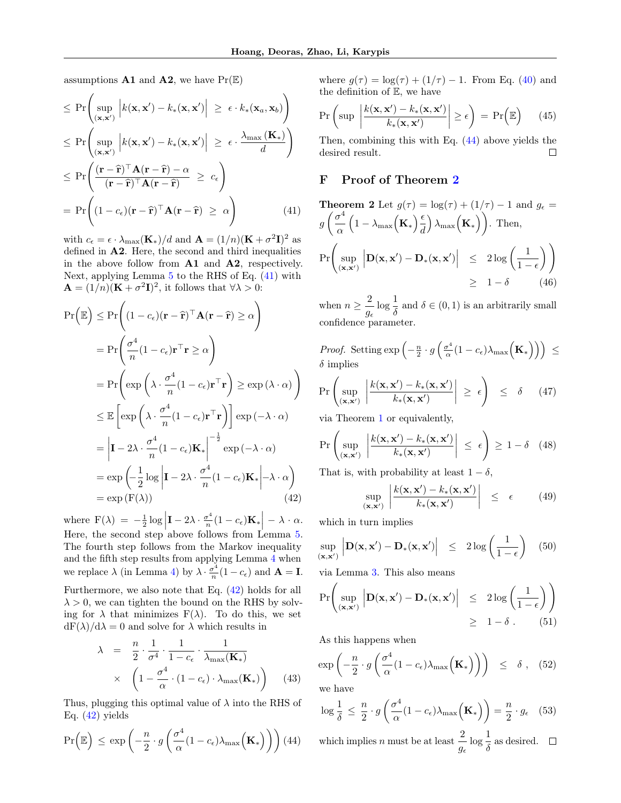assumptions  $\mathbf{A1}$  and  $\mathbf{A2}$ , we have  $\Pr(\mathbb{E})$ 

<span id="page-14-1"></span>
$$
\leq \Pr\left(\sup_{(\mathbf{x}, \mathbf{x}')} \left| k(\mathbf{x}, \mathbf{x}') - k_*(\mathbf{x}, \mathbf{x}') \right| \geq \epsilon \cdot k_*(\mathbf{x}_a, \mathbf{x}_b) \right)
$$
\n
$$
\leq \Pr\left(\sup_{(\mathbf{x}, \mathbf{x}')} \left| k(\mathbf{x}, \mathbf{x}') - k_*(\mathbf{x}, \mathbf{x}') \right| \geq \epsilon \cdot \frac{\lambda_{\max}(\mathbf{K}_*)}{d} \right)
$$
\n
$$
\leq \Pr\left(\frac{(\mathbf{r} - \hat{\mathbf{r}})^{\top} \mathbf{A} (\mathbf{r} - \hat{\mathbf{r}}) - \alpha}{(\mathbf{r} - \hat{\mathbf{r}})^{\top} \mathbf{A} (\mathbf{r} - \hat{\mathbf{r}})} \geq c_{\epsilon} \right)
$$
\n
$$
= \Pr\left((1 - c_{\epsilon})(\mathbf{r} - \hat{\mathbf{r}})^{\top} \mathbf{A} (\mathbf{r} - \hat{\mathbf{r}}) \geq \alpha\right) \tag{41}
$$

with  $c_{\epsilon} = \epsilon \cdot \lambda_{\max}(\mathbf{K}_{*})/d$  and  $\mathbf{A} = (1/n)(\mathbf{K} + \sigma^2 \mathbf{I})^2$  as defined in A2. Here, the second and third inequalities in the above follow from A1 and A2, respectively. Next, applying Lemma  $5$  to the RHS of Eq.  $(41)$  with  $\mathbf{A} = (1/n)(\mathbf{K} + \sigma^2 \mathbf{I})^2$ , it follows that  $\forall \lambda > 0$ :

<span id="page-14-2"></span>
$$
\Pr\left(\mathbb{E}\right) \leq \Pr\left((1 - c_{\epsilon})(\mathbf{r} - \hat{\mathbf{r}})^{\top}\mathbf{A}(\mathbf{r} - \hat{\mathbf{r}}) \geq \alpha\right)
$$
  
\n
$$
= \Pr\left(\frac{\sigma^{4}}{n}(1 - c_{\epsilon})\mathbf{r}^{\top}\mathbf{r} \geq \alpha\right)
$$
  
\n
$$
= \Pr\left(\exp\left(\lambda \cdot \frac{\sigma^{4}}{n}(1 - c_{\epsilon})\mathbf{r}^{\top}\mathbf{r}\right) \geq \exp(\lambda \cdot \alpha)\right)
$$
  
\n
$$
\leq \mathbb{E}\left[\exp\left(\lambda \cdot \frac{\sigma^{4}}{n}(1 - c_{\epsilon})\mathbf{r}^{\top}\mathbf{r}\right)\right] \exp(-\lambda \cdot \alpha)
$$
  
\n
$$
= \left|\mathbf{I} - 2\lambda \cdot \frac{\sigma^{4}}{n}(1 - c_{\epsilon})\mathbf{K}_{*}\right|^{-\frac{1}{2}} \exp(-\lambda \cdot \alpha)
$$
  
\n
$$
= \exp\left(-\frac{1}{2}\log\left|\mathbf{I} - 2\lambda \cdot \frac{\sigma^{4}}{n}(1 - c_{\epsilon})\mathbf{K}_{*}\right| - \lambda \cdot \alpha\right)
$$
  
\n
$$
= \exp\left(\mathbf{F}(\lambda)\right) \tag{42}
$$

where  $F(\lambda) = -\frac{1}{2} \log \left| I - 2\lambda \cdot \frac{\sigma^4}{n} \right|$ Here, the second step above follows from Lemma [5.](#page-13-5)  $\frac{\sigma^4}{n}(1-c_{\epsilon})\mathbf{K}_{*}\bigg| - \lambda \cdot \alpha.$ The fourth step follows from the Markov inequality and the fifth step results from applying Lemma [4](#page-13-4) when we replace  $\lambda$  (in Lemma [4\)](#page-13-4) by  $\lambda \cdot \frac{\sigma^4}{n}$  $\frac{\sigma^2}{n}(1-c_{\epsilon})$  and  $\mathbf{A} = \mathbf{I}$ . Furthermore, we also note that Eq. [\(42\)](#page-14-2) holds for all

 $\lambda > 0$ , we can tighten the bound on the RHS by solving for  $\lambda$  that minimizes  $F(\lambda)$ . To do this, we set  $dF(\lambda)/d\lambda = 0$  and solve for  $\lambda$  which results in

$$
\lambda = \frac{n}{2} \cdot \frac{1}{\sigma^4} \cdot \frac{1}{1 - c_{\epsilon}} \cdot \frac{1}{\lambda_{\max}(\mathbf{K}_*)}
$$
  
 
$$
\times \left(1 - \frac{\sigma^4}{\alpha} \cdot (1 - c_{\epsilon}) \cdot \lambda_{\max}(\mathbf{K}_*)\right) \quad (43)
$$

Thus, plugging this optimal value of  $\lambda$  into the RHS of Eq.  $(42)$  yields

<span id="page-14-3"></span>
$$
\Pr\left(\mathbb{E}\right) \le \exp\left(-\frac{n}{2} \cdot g\left(\frac{\sigma^4}{\alpha} (1 - c_{\epsilon}) \lambda_{\max}\left(\mathbf{K}_*\right)\right)\right) (44)
$$

where  $g(\tau) = \log(\tau) + (1/\tau) - 1$ . From Eq. [\(40\)](#page-13-6) and the definition of E, we have

$$
\Pr\left(\sup\left|\frac{k(\mathbf{x}, \mathbf{x}') - k_*(\mathbf{x}, \mathbf{x}')}{k_*(\mathbf{x}, \mathbf{x}')} \right| \ge \epsilon\right) = \Pr\left(\mathbb{E}\right) \tag{45}
$$

Then, combining this with Eq. [\(44\)](#page-14-3) above yields the desired result.  $\Box$ 

## <span id="page-14-0"></span>F Proof of Theorem [2](#page-5-1)

**Theorem 2** Let 
$$
g(\tau) = \log(\tau) + (1/\tau) - 1
$$
 and  $g_{\epsilon} =$   
\n $g\left(\frac{\sigma^4}{\alpha} \left(1 - \lambda_{\max}\left(\mathbf{K}_*\right) \frac{\epsilon}{d}\right) \lambda_{\max}\left(\mathbf{K}_*\right)\right)$ . Then,  
\n $\Pr\left(\sup_{(\mathbf{x}, \mathbf{x}')} \left| \mathbf{D}(\mathbf{x}, \mathbf{x}') - \mathbf{D}_*(\mathbf{x}, \mathbf{x}') \right| \leq 2 \log\left(\frac{1}{1-\epsilon}\right)\right) \geq 1-\delta$  (46)

when  $n \geq \frac{2}{n}$  $\frac{2}{g_{\epsilon}} \log \frac{1}{\delta}$  and  $\delta \in (0, 1)$  is an arbitrarily small confidence parameter.

*Proof.* Setting  $\exp\left(-\frac{n}{2}\cdot g\left(\frac{\sigma^4}{\alpha}\right)\right)$  $\frac{\sigma^4}{\alpha}(1-c_\epsilon) \lambda_{\max}\Big(\mathbf{K}_*\Big)\Big)\Big)\ \leq \Bigg\{$  $\delta$  implies

$$
\Pr\left(\sup_{(\mathbf{x}, \mathbf{x}')} \left| \frac{k(\mathbf{x}, \mathbf{x}') - k_*(\mathbf{x}, \mathbf{x}')}{k_*(\mathbf{x}, \mathbf{x}')} \right| \ge \epsilon \right) \le \delta \quad (47)
$$

via Theorem [1](#page-5-0) or equivalently,

$$
\Pr\left(\sup_{(\mathbf{x}, \mathbf{x}')} \left| \frac{k(\mathbf{x}, \mathbf{x}') - k_*(\mathbf{x}, \mathbf{x}')}{k_*(\mathbf{x}, \mathbf{x}')} \right| \le \epsilon \right) \ge 1 - \delta \quad (48)
$$

That is, with probability at least  $1 - \delta$ ,

$$
\sup_{(\mathbf{x}, \mathbf{x}')} \left| \frac{k(\mathbf{x}, \mathbf{x}') - k_*(\mathbf{x}, \mathbf{x}')}{k_*(\mathbf{x}, \mathbf{x}')} \right| \leq \epsilon \qquad (49)
$$

which in turn implies

$$
\sup_{(\mathbf{x}, \mathbf{x}')} \left| \mathbf{D}(\mathbf{x}, \mathbf{x}') - \mathbf{D}_*(\mathbf{x}, \mathbf{x}') \right| \leq 2 \log \left( \frac{1}{1 - \epsilon} \right) \quad (50)
$$

via Lemma [3.](#page-5-4) This also means

$$
\Pr\left(\sup_{(\mathbf{x}, \mathbf{x}')} \left| \mathbf{D}(\mathbf{x}, \mathbf{x}') - \mathbf{D}_*(\mathbf{x}, \mathbf{x}')\right| \le 2\log\left(\frac{1}{1-\epsilon}\right) \right) \ge 1-\delta. \tag{51}
$$

As this happens when

$$
\exp\left(-\frac{n}{2} \cdot g\left(\frac{\sigma^4}{\alpha} (1 - c_{\epsilon}) \lambda_{\max}\left(\mathbf{K}_*\right)\right)\right) \leq \delta , \quad (52)
$$

we have

$$
\log \frac{1}{\delta} \le \frac{n}{2} \cdot g\left(\frac{\sigma^4}{\alpha} (1 - c_{\epsilon}) \lambda_{\max}\left(\mathbf{K}_*\right)\right) = \frac{n}{2} \cdot g_{\epsilon} \quad (53)
$$

which implies *n* must be at least  $\frac{2}{g_{\epsilon}} \log \frac{1}{\delta}$  as desired.